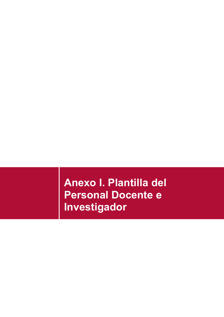**Anexo I. Plantilla del Personal Docente e Investigador**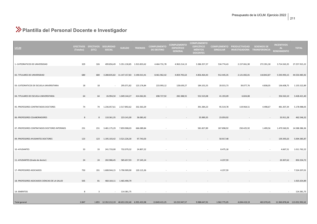## **Plantilla del Personal Docente e Investigador**

| <b>UCLM</b>                                   | <b>EFECTIVOS</b><br>(Totales) | <b>EFECTIVOS</b><br>(ETC) | <b>SEGURIDAD</b><br><b>SOCIAL</b> | <b>SUELDO</b>                                  | <b>TRIENIOS</b> | <b>COMPLEMENTO</b><br><b>DE DESTINO</b> | <b>COMPLEMENTO</b><br><b>ESPECÍFICO</b><br><b>GENERAL</b> | <b>COMPLEMENTO</b><br><b>ESPECÍFICO</b><br><b>MÉRITOS</b><br><b>DOCENTES</b> | <b>COMPLEMENTO</b><br><b>SINGULAR</b> | <b>PRODUCTIVIDAD</b><br><b>INVESTIGADORA</b> | <b>SEXENIOS DE</b><br>TRANSFERENCIA | <b>INCENTIVOS</b><br>AL.<br><b>RENDIMIENTO</b> | <b>TOTAL</b>                 |
|-----------------------------------------------|-------------------------------|---------------------------|-----------------------------------|------------------------------------------------|-----------------|-----------------------------------------|-----------------------------------------------------------|------------------------------------------------------------------------------|---------------------------------------|----------------------------------------------|-------------------------------------|------------------------------------------------|------------------------------|
| 1.-CATEDRATICOS DE UNIVERSIDAD                | 329                           | 326                       | 499.856,49                        | 5.351.130,85 1.913.833,62                      |                 | 4.464.731,78                            | 4.963.214,13                                              | 3.386.357,37                                                                 | 534.774,43                            | 2.157.061,90                                 | 272.391,30                          |                                                | 3.714.563,35 27.257.915,22   |
| 02.-TITULARES DE UNIVERSIDAD                  | 680                           | 680                       |                                   | 3.288.835,82 11.147.157,83 3.190.013,41        |                 | 8.461.962,42                            | 4.859.705,63                                              | 4.856.464,43                                                                 | 912.445,35                            | 2.121.065,01                                 | 118.842,87                          |                                                | 5.593.993,15 44.550.485,92   |
| 03.-CATEDRATICOS DE ESCUELA UNIVERSITARIA     | 18                            | 18                        |                                   | 295.071,82                                     | 123.176,84      | 223.993,12                              | 128.639,27                                                | 184.101,55                                                                   | 20.015,73                             | 39.077,76                                    | 4.838,05                            | 136.608,75                                     | 1.155.522,89                 |
| 04.-TITULARES DE ESCUELA UNIVERSITARIA        | 64                            | 64                        |                                   | 26.994,50 1.049.144,27                         | 414.062,81      | 698.727,92                              | 282.388,55                                                | 552.523,08                                                                   | 41.193,09                             | 6.824,08                                     |                                     | 356.563,10                                     | 3.428.421,40                 |
| 05.-PROFESORES CONTRATADOS DOCTORES           | 74                            |                           |                                   | 74  1.236.057,61  2.517.892,62                 | 332.363,29      |                                         | $\sim$                                                    | 391.384,23                                                                   | 95.519,78                             | 119.964,51                                   | 4.498,67                            | 481.307,34                                     | 5.178.988,05                 |
| 06.-PROFESORES COLABORADORES                  | 8                             | 8                         | 110.361,35                        | 223.141,00                                     | 36.083,42       |                                         |                                                           | 35.989,35                                                                    | 23.059,92                             |                                              |                                     | 33.911,28                                      | 462.546,32                   |
| 07.-PROFESORES CONTRATADOS DOCTORES INTERINOS | 231                           |                           | 231 3.481.175,29                  | 7.859.908,03                                   | 666.089,84      |                                         |                                                           | 581.827,89                                                                   | 267.898,92                            | 250.425,92                                   | 1.499,56                            |                                                | 1.479.560,91  14.588.386,36  |
| 09.-PROFESORES AYUDANTES DOCTORES             | 123                           |                           |                                   | 123 1.195.103,42 3.521.226,30                  | 97.743,03       |                                         |                                                           |                                                                              | 50.917,48                             |                                              |                                     | 139.395,63                                     | 5.004.385,87                 |
| 10.-AYUDANTES                                 | 33                            | 33                        | 241.733,00                        | 732.079,32                                     | 24.807,22       |                                         |                                                           | $\sim$                                                                       | 8.475,18                              |                                              |                                     | 4.667,51                                       | 1.011.762,22                 |
| 11.-AYUDANTES (Grado de doctor)               | 24                            | 24                        | 202.986,45                        | 585.657,93                                     | 37.145,14       |                                         |                                                           |                                                                              | 4.237,59                              |                                              |                                     | 20.307,62                                      | 850.334,72                   |
| 17.-PROFESORES ASOCIADOS                      | 750                           |                           |                                   | 191  1.608.944,15  5.790.909,90                | 120.115,36      |                                         |                                                           |                                                                              | 4.237,59                              |                                              |                                     |                                                | 7.524.207,01                 |
| 18.-PROFESORES ASOCIADOS CIENCIAS DE LA SALUD | 505                           | 81                        |                                   | 460.164,11  1.465.490,79                       |                 |                                         |                                                           |                                                                              |                                       |                                              |                                     |                                                | 1.925.654,89                 |
| 14.-EMERITOS                                  | 8                             | $\overline{\mathbf{3}}$   | $\sim$                            | 114.381,75                                     |                 |                                         |                                                           |                                                                              |                                       |                                              |                                     |                                                | 114.381,75                   |
| Total general                                 | 2.847                         |                           |                                   | 1.855 12.352.212,19 40.653.192,40 6.955.433,98 |                 | 13.849.415,25                           | 10.233.947,57                                             | 9.988.647,91                                                                 | 1.962.775,05                          | 4.694.419,19                                 | 402.070,45                          |                                                | 11.960.878,64 113.052.992,62 |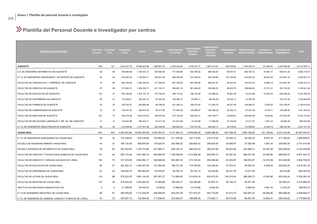## **Plantilla del Personal Docente e Investigador por centros**

| <b>DISTRIBUCIÓN POR CENTROS</b>                              | EFECTIVOS EFECTIVOS<br>(Totales) | (ETC) | <b>SEGURIDAD</b><br><b>SOCIAL</b> | <b>SUELDO</b> | <b>TRIENIOS</b> | <b>COMPLEMENTO</b><br><b>DE DESTINO</b> | <b>COMPLEMENTO</b><br><b>ESPECÍFICO</b><br><b>GENERAL</b> | <b>COMPLEMENTO</b><br><b>ESPECÍFICO</b><br><b>MÉRITOS</b><br><b>DOCENTES</b> | <b>SINGULAR</b> | COMPLEMENTO PRODUCTIVIDAD<br><b>INVESTIGADORA</b> | <b>SEXENIOS DE</b><br><b>TRANSFERENCIA</b> | <b>INCENTIVOS AL</b><br><b>RENDIMIENTO</b> | <b>TOTAL</b>  |
|--------------------------------------------------------------|----------------------------------|-------|-----------------------------------|---------------|-----------------|-----------------------------------------|-----------------------------------------------------------|------------------------------------------------------------------------------|-----------------|---------------------------------------------------|--------------------------------------------|--------------------------------------------|---------------|
| <b>ALBACETE</b>                                              | 836                              | 521   | 3.234.237,79                      | 10.964.623,86 | 1.998.261,78    | 4.230.433,83                            | 3.163.431,77                                              | 2.967.014,44                                                                 | 629.309,60      | 1.439.309,14                                      | 151.848,30                                 | 3.435.082,60                               | 32.213.553,11 |
| E.S. DE INGENIERIA INFORMATICA DE ALBACETE                   | 69                               | 65    | 345.682,69                        | 1.163.451,72  | 303.650,90      | 731.639,86                              | 542.459,02                                                | 485.000,87                                                                   | 68.937,41       | 246.702,72                                        | 37.881,77                                  | 536.811,20                                 | 4.462.218,16  |
| E.T.S. DE INGENIEROS AGRONOMOS Y DE MONTES DE ALBACETE       | 62                               | 59    | 244.297,30                        | 1.152.904,11  | 276.261,48      | 584.355,68                              | 512.256,03                                                | 428.798,98                                                                   | 107.225,66      | 219.567,20                                        | 30.823,53                                  | 473.467,19                                 | 4.029.957,15  |
| FACULTAD DE CIENCIAS ECO. Y EMPRESA. DE ALBACETE             | 78                               | 68    | 480.794.84                        | 1.363.494,23  | 317.496,55      | 651.788,28                              | 487.056,96                                                | 488.221,67                                                                   | 90.343,42       | 140.510,24                                        | 16.884,15                                  | 519.981,85                                 | 4.556.572,19  |
| FACULTAD DE DERECHO DE ALBACETE                              | 67                               | 48    | 217.660,12                        | 1.006.530,71  | 217.142,11      | 393.891,19                              | 361.493,63                                                | 332.880,53                                                                   | 66.932,79       | 188.848,52                                        | 21.511,01                                  | 353.150,43                                 | 3.160.041,04  |
| FACULTAD DE EDUCACION DE ALBACETE                            | 103                              | 57    | 452.192,60                        | 1.402.157,16  | 157.750,62      | 288.115,22                              | 186.153,90                                                | 170.099,45                                                                   | 45.891,49       | 72.014,89                                         | 10.054,76                                  | 248.365,40                                 | 3.032.795,49  |
| FACULTAD DE ENFERMERIA DE ALBACETE                           | 68                               | 27    | 170.259,21                        | 592.381,72    | 87.044,45       | 104.364,37                              | 50.648,11                                                 | 96.002,08                                                                    | 29.302,13       | 15.787,46                                         |                                            | 103.775,35                                 | 1.249.564,88  |
| FACULTAD DE FARMACIA DE ALBACETE                             | 50                               | 36    | 305.792,91                        | 830.665,89    | 89.799,92       | 241.008,14                              | 168.473,64                                                | 117.363,78                                                                   | 46.341,46       | 108.585,57                                        | 5.595,36                                   | 233.183,97                                 | 2.146.810,64  |
| FACULTAD DE HUMANIDADES DE ALBACETE                          | 25                               | 19    | 159.441,20                        | 409.874,54    | 85.417,85       | 177.645,09                              | 124.568,57                                                | 139.188,22                                                                   | 29.302,13       | 61.321,26                                         | 5.216,71                                   | 149.358,42                                 | 1.341.334,00  |
| FACULTAD DE MEDICINA DE ALBACETE                             | 227                              | 74    | 450.274,08                        | 1.600.218,79  | 186.878,05      | 473.155,48                              | 340.023,21                                                | 329.199,71                                                                   | 63.859,02       | 246.064,09                                        | 9.464,92                                   | 373.004,45                                 | 4.072.141,80  |
| FACULTAD DE RELACIONES LABORALES Y RR. HH. DE ALBACETE       | 21                               | 15    | 133.637,88                        | 365.403,11    | 53.471,29       | 101.837,98                              | 73.516,88                                                 | 71.994,99                                                                    | 37.154,56       | 27.317,57                                         | 1.991,34                                   | 94.650,39                                  | 960.975,98    |
| E.T.S. DE INGENIEROS INDUSTRIALES DE ALBACETE                | 66                               | 53    | 274.204,95                        | 1.077.541,88  | 223.348,55      | 482.632,54                              | 316.781,83                                                | 308.264,17                                                                   | 44.019,53       | 112.589,62                                        | 12.424,75                                  | 349.333,96                                 | 3.201.141,78  |
| <b>CIUDAD REAL</b>                                           | 875                              | 601   | 3.554.543,96                      | 12.605.355,58 | 2.450.767,61    | 5.137.383,74                            | 3.976.994,45                                              | 3.694.288,38                                                                 | 637.389,78      | 1.905.195,46                                      | 151.106,06                                 | 4.274.418,46                               | 38.387.443,47 |
| E.T.S. DE INGENIEROS AGRONOMOS DE CIUDAD REAL                | 39                               | 32    | 107.229,93                        | 630.236,89    | 154.864,87      | 311.476,90                              | 197.712,85                                                | 218.314,35                                                                   | 29.302,13       | 83.036,79                                         | 9.676,10                                   | 217.798,24                                 | 1.959.649,07  |
| ESCUELA DE INGENIERIA MINERA E INDUSTRIAL                    | 44                               | 37    | 109.134.38                        | 690.979,94    | 179.620.91      | 352.094.52                              | 209.893,52                                                | 256.629.45                                                                   | 54.999,97       | 57.582,99                                         | 1.991,34                                   | 228.487.54                                 | 2.141.414.56  |
| ESCUELA SUPERIOR DE INFORMATICA DE CIUDAD REAL               | 78                               | 62    | 402.303,80                        | 1.183.772,66  | 251.480,71      | 638.193,12                              | 496.223,23                                                | 369.327,09                                                                   | 65.833,94       | 202.966,73                                        | 32.057,56                                  | 500.269,83                                 | 4.142.428,68  |
| FACULTAD DE CIENCIAS Y TECNOLOGIAS QUIMICAS DE CIUDAD REAL   | 101                              | 93    | 255.179.38                        | 1.627.580,18  | 482.968,05      | 1.148.786,26                            | 1.012.984,08                                              | 845.853,13                                                                   | 92.281,93       | 566.531,36                                        | 32.945,66                                  | 886.833,70                                 | 6.951.943,73  |
| FACULTAD DE DERECHO Y CIENCIAS SOCIALES DE C-REAL            | 104                              | 75    | 517.916,95                        | 1.654.892,17  | 338.068,80      | 603.991,33                              | 473.105,34                                                | 484.290,84                                                                   | 63.504,87       | 186.054,67                                        | 14.416,09                                  | 512.494,94                                 | 4.848.736,00  |
| FACULTAD DE EDUCACION DE CIUDAD REAL                         | 90                               | 51    | 381.932,13                        | 1.349.347,40  | 137.565,48      | 198.721,30                              | 119.783,65                                                | 134.346,42                                                                   | 47.074,31       | 39.920,16                                         | 4.838,05                                   | 205.832,34                                 | 2.619.361,23  |
| FACULTAD DE ENFERMERIA DE CIUDAD REAL                        | 61                               | 22    | 146.820,75                        | 485.263,48    | 62.979,87       | 58.783,74                               | 35.702,15                                                 | 53.200,83                                                                    | 26.247,35       | 13.071,53                                         |                                            | 66.233,89                                  | 948.303,59    |
| FACULTAD DE LETRAS DE CIUDAD REAL                            | 110                              | 88    | 570.523,53                        | 1.961.144,26  | 397.467,37      | 712.865,85                              | 514.618,16                                                | 603.915,33                                                                   | 104.510,04      | 266.369,73                                        | 13.545,66                                  | 635.304,24                                 | 5.780.264,16  |
| FACULTAD DE MEDICINA DE CIUDAD REAL                          | 137                              | 43    | 418.522,29                        | 1.033.205,52  | 75.080,86       | 166.343,77                              | 125.593,88                                                | 91.667,37                                                                    | 36.746,15       | 83.977,38                                         |                                            | 187.854,81                                 | 2.218.992,03  |
| INSTITUTO DE RECURSOS CINEGETICOS (CR)                       | 3                                | 3     | 21.368,06                         | 84.444,03     | 4.438,52        | 13.586,80                               | 15.318,56                                                 | 8.409,39                                                                     |                 | 6.829,39                                          | 1.991,34                                   | 11.616,23                                  | 168.002,33    |
| E.T.S DE INGENIERIA INDUSTRIAL DE CIUDAD REAL                | 66                               | 61    | 369.555,60                        | 1.172.434,50  | 248.595,94      | 653.057,09                              | 577.973,57                                                | 454.779,06                                                                   | 57.573,10       | 302.587,32                                        | 26.840,85                                  | 565.266,48                                 | 4.428.663,51  |
| E.T.S. DE INGENIERIA DE CAMINOS, CANALES Y PUERTOS DE C-REAL | 42                               | 33    | 254.057,15                        | 732.054,55    | 117.636.24      | 279.483,07                              | 198.085,45                                                | 173.555,11                                                                   | 59.315,98       | 96.267,40                                         | 12.803,41                                  | 256.426,22                                 | 2.179.684,58  |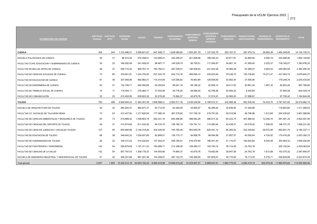| <b>DISTRIBUCIÓN POR CENTROS</b>                           | (Totales) | EFECTIVOS EFECTIVOS<br>(ETC) | <b>SEGURIDAD</b><br><b>SOCIAL</b> | <b>SUELDO</b> | <b>TRIENIOS</b> | <b>COMPLEMENTO</b><br><b>DE DESTINO</b> | <b>COMPLEMENTO</b><br><b>ESPECÍFICO</b><br><b>GENERAL</b> | <b>COMPLEMENTO</b><br><b>ESPECÍFICO</b><br><b>MÉRITOS</b><br><b>DOCENTES</b> | <b>COMPLEMENTO</b><br><b>SINGULAR</b> | <b>PRODUCTIVIDAD</b><br><b>INVESTIGADORA</b> | <b>SEXENIOS DE</b><br><b>TRANSFERENCIA</b> | <b>INCENTIVOS AL</b><br><b>RENDIMIENTO</b> | <b>TOTAL</b>   |
|-----------------------------------------------------------|-----------|------------------------------|-----------------------------------|---------------|-----------------|-----------------------------------------|-----------------------------------------------------------|------------------------------------------------------------------------------|---------------------------------------|----------------------------------------------|--------------------------------------------|--------------------------------------------|----------------|
| <b>CUENCA</b>                                             | 354       | 244                          | 1.723.486,01                      | 5.599.821,87  | 847.408,17      | 1.626.085,92                            | 1.054.281,78                                              | 1.127.432,79                                                                 | 263.107,31                            | 397.479,15                                   | 28.682,38                                  | .464.349,93                                | 14.132.135,31  |
| ESCUELA POLITECNICA DE CUENCA                             | 35        | 31                           | 96.015,54                         | 570.208,01    | 133.589,21      | 330.259,27                              | 201.068,88                                                | 189.250,43                                                                   | 50.811,67                             | 52.869,92                                    | 4.590,18                                   | 225.486,48                                 | 1.854.149,60   |
| FACULTAD CCIAS, EDUCACION Y HUMANIDADES DE CUENCA         | 35        | 23                           | 189.282.48                        | 541.406.53    | 96.467.17       | 149.328.75                              | 85.759.51                                                 | 117.094.87                                                                   | 30.661,18                             | 41.590.40                                    | 3.225,37                                   | 139.160.07                                 | 1.393.976.32   |
| FACULTAD DE BELLAS ARTES DE CUENCA                        | 48        | 37                           | 259.710.32                        | 869.767,12    | 162.760.21      | 267.039,01                              | 190.938,83                                                | 231.024,48                                                                   | 34.984,29                             | 87.596,47                                    | 3.604,02                                   | 255.065,59                                 | 2.362.490,34   |
| FACULTAD DE CIENCIAS SOCIALES DE CUENCA                   | 73        | 60                           | 379.601,81                        | 1.224.705,02  | 227.244,79      | 542.710,16                              | 369.946,10                                                | 333.833,84                                                                   | 33.539,72                             | 125.726,60                                   | 15.271,47                                  | 427.063,74                                 | 3.679.643,27   |
| FACULTAD DE EDUCACION DE CUENCA                           | 61        | 36                           | 337.849.06                        | 992.982,01    | 114.314.94      | 124.056.92                              | 76.903.89                                                 | 129.059.56                                                                   | 43.562.43                             | 37.456.06                                    |                                            | 179,248.78                                 | 2.035.433.65   |
| FACULTAD DE ENFERMERIA DE CUENCA                          | 52        | 21                           | 132.169,71                        | 482.084,68    | 50.352,64       | 88.251,18                               | 58.198,32                                                 | 52.809,12                                                                    | 28.417,63                             | 20.891,04                                    | 1.991,34                                   | 82.603.25                                  | 997.768,90     |
| FACULTAD DE TRABAJO SOCIAL DE CUENCA                      | 15        | 11                           | 118,404.11                        | 279.065.17    | 37.402.95       | 49.776.25                               | 28.586.50                                                 | 42.785.56                                                                    | 20.565.20                             | 9.449.85                                     |                                            | 57.993.59                                  | 644.029.19     |
| FACULTAD DE COMUNICACIÓN                                  | 35        | 25                           | 210.452.99                        | 639.603.34    | 25.276.26       | 74.664.37                               | 42.879,76                                                 | 31.574.91                                                                    | 20.565.20                             | 21.898.81                                    | $\sim$                                     | 97.728.42                                  | 1.164.644,06   |
| <b>TOLEDO</b>                                             | 782       | 489                          | 3.839.944,43                      | 11.483.391,09 | 1.658.996,41    | 2.855.511,76                            | 2.039.239,56                                              | 2.199.912,31                                                                 | 432.968,36                            | 952.435,45                                   | 70.433,70                                  | 2.787.027,65                               | 28.319.860,73  |
| ESCUELA DE ARQUITECTURA DE TOLEDO                         | 30        | 23                           | 260.284.47                        | 660.677.21    | 50.712.44       | 63.363,05                               | 43.905,07                                                 | 50.289,54                                                                    | 30.636,60                             | 31.348,66                                    |                                            | 119.852,60                                 | 1.311.069,63   |
| FACULTAD CC. SOCIALES DE TALAVERA REINA                   | 73        | 54                           | 412.427,82                        | 1.317.620,94  | 177.388,16      | 267.279,92                              | 151.726,18                                                | 218.781,62                                                                   | 50.018,98                             | 49.796,96                                    | 1.612,68                                   | 254.435,62                                 | 2.901.088,89   |
| FACULTAD DE CIENCIAS AMBIENTALES Y BIOQUIMICA DE TOLEDO   | 83        | 73                           | 519.889.42                        | 1.558.803.19  | 282.331.15      | 640.486.95                              | 488.082.28                                                | 466.817.32                                                                   | 64.223,73                             | 307.866.02                                   | 12.046.10                                  | 581.461.34                                 | 4.922.007,50   |
| FACULTAD DE CIENCIAS DEL DEPORTE DE TOLEDO                | 49        | 31                           | 313.974.65                        | 811.032,26    | 94.316,16       | 156.185,19                              | 134.791,13                                                | 114.280,44                                                                   | 42.428,31                             | 63.278,02                                    | 7.208,05                                   | 198.737,70                                 | 1.936.231,90   |
| FACULTAD DE CIENCIAS JURIDICAS Y SOCIALES TOLEDO          | 127       | 95                           | 650.985.96                        | 2.149.318.26  | 434.429.45      | 744.765.45                              | 563.649.78                                                | 626.441.12                                                                   | 85.265.02                             | 233.309.84                                   | 29.570.48                                  | 662.601.75                                 | 6.180.337.11   |
| FACULTAD DE EDUCACION DE TOLEDO                           | 68        | 38                           | 349.642.22                        | 1.029.937.69  | 92.899.51       | 139.170.17                              | 94.956,76                                                 | 98.594,99                                                                    | 27.857,57                             | 40.550,64                                    | 4.724,92                                   | 175.016.26                                 | 2.053.350,72   |
| FACULTAD DE HUMANIDADES DE TOLEDO                         | 26        | 23                           | 109.721,02                        | 415.220,63    | 127.454,27      | 259.165,91                              | 216.479,94                                                | 196.441,44                                                                   | 21.170,57                             | 100.645,65                                   | 8.442,08                                   | 204.464,33                                 | 1.659.205,84   |
| FACULTAD DE FISIOTERAPIA Y ENFERMERIA                     | 143       | 54                           | 358.879.58                        | 1.191.311.23  | 150.699.71      | 213.308.05                              | 109.499.13                                                | 150.740.12                                                                   | 35.710.00                             | 24.763.18                                    |                                            | 200.152.84                                 | 2.435.063.84   |
| FACULTAD DE CIENCIAS DE LA SALUD                          | 132       | 54                           | 507.797.43                        | 1.358.178.33  | 104.555.66      | 74.664.37                               | 42.879.76                                                 | 79.920,64                                                                    | 39.947,59                             | 24.763,18                                    | 1.612,68                                   | 153.375.32                                 | 2.387.694.97   |
| ESCUELA DE INGENIERIA INDUSTRIAL Y AEROESPACIAL DE TOLEDO | 51        | 44                           | 356.341.86                        | 991.291.36    | 144.209.91      | 297.122.70                              | 193.269.55                                                | 197.605.07                                                                   | 35.710.00                             | 76.113.30                                    | 5.216.71                                   | 236.929.89                                 | 2.533.810.34   |
| Total general                                             | 2.847     | 1.855                        | 12.352.212.19                     | 40.653.192.40 | 6.955.433.98    | 13.849.415.25                           | 10.233.947.57                                             | 9.988.647.91                                                                 | 1.962.775.05                          | 4.694.419.19                                 |                                            | 402.070.45 11.960.878.64                   | 113.052.992.62 |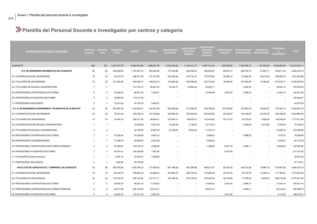## **Plantilla del Personal Docente e Investigador por centros y categoría**

| <b>DISTRIBUCIÓN POR CENTROS Y CATEGORÍAS</b>           | <b>EFECTIVOS</b><br>(Totales) | <b>EFECTIVOS</b><br>(ETC) | <b>SEGURIDAD</b><br><b>SOCIAL</b> | <b>SUELDO</b> | <b>TRIENIOS</b> | <b>COMPLEMENTO</b><br><b>DE DESTINO</b> | <b>COMPLEMENTO</b><br><b>ESPECÍFICO</b><br><b>GENERAL</b> | <b>COMPLEMENTO</b><br><b>ESPECÍFICO</b><br><b>MERITOS</b><br><b>DOCENTES</b> | <b>SINGULAR</b>          | COMPLEMENTO PRODUCTIVIDAD<br>INVESTIGADORA TRANSFERENCIA | <b>SEXENIOS DE</b> | <b>INCENTIVOS</b><br>AL -<br><b>RENDIMIENTO</b> | <b>TOTAL</b>  |
|--------------------------------------------------------|-------------------------------|---------------------------|-----------------------------------|---------------|-----------------|-----------------------------------------|-----------------------------------------------------------|------------------------------------------------------------------------------|--------------------------|----------------------------------------------------------|--------------------|-------------------------------------------------|---------------|
| ALBACETE                                               | 836                           | 521                       | 3.234.237,79                      | 10.964.623,86 | 1.998.261,78    | 4.230.433,83                            | 3.163.431,77                                              | 2.967.014,44                                                                 | 629.309,60               | 1.439.309,14                                             | 151.848,30         | 3.435.082,60                                    | 32.213.553,11 |
| E.S. DE INGENIERIA INFORMATICA DE ALBACETE             | 69                            | 65                        | 345.682,69                        | 1.163.451,72  | 303.650,90      | 731.639,86                              | 542.459,02                                                | 485.000,87                                                                   | 68.937,41                | 246.702,72                                               | 37.881,77          | 536.811,20                                      | 4.462.218,16  |
| 01.-CATEDRATICOS DE UNIVERSIDAD                        | 18                            | 18                        | 52.373,75                         | 295.071,82    | 101.747,85      | 244.562,44                              | 275.734,12                                                | 175.475,89                                                                   | 29.288,14                | 114.664.20                                               | 23.615,48          | 209.092,19                                      | 1.521.625,88  |
| 02.-TITULARES DE UNIVERSIDAD                           | 33                            | 33                        | 213.220,66                        | 540.965,01    | 145.203,14      | 410.654,06                              | 235.838,66                                                | 233.744,38                                                                   | 36.594,50                | 121.945,85                                               | 14.266,29          | 274.530,71                                      | 2.226.963,25  |
| 04.-TITULARES DE ESCUELA UNIVERSITARIA                 | $\overline{7}$                | $\overline{7}$            |                                   | 114.750,15    | 46.921,54       | 76.423,37                               | 30.886,25                                                 | 65.283,71                                                                    |                          | 4.094,45                                                 |                    | 39.944,15                                       | 378.303,62    |
| 05.-PROFESORES CONTRATADOS DOCTORES                    | $\overline{2}$                | $\overline{2}$            | 33.900,27                         | 68.051,15     | 7.296,37        |                                         |                                                           | 10.496,89                                                                    | 3.054,78                 | 5.998,23                                                 |                    | 13.244,14                                       | 142.041,82    |
| 09.-PROFESORES AYUDANTES DOCTORES                      | 4                             | $\overline{4}$            | 35.956,59                         | 114.511,42    |                 |                                         |                                                           |                                                                              |                          |                                                          |                    |                                                 | 150.468,01    |
| 17.-PROFESORES ASOCIADOS                               | -5                            | -1                        | 10.231,43                         | 30.102,16     | 2.482,01        |                                         |                                                           |                                                                              |                          |                                                          |                    |                                                 | 42.815,59     |
| E.T.S. DE INGENIEROS AGRONOMOS Y DE MONTES DE ALBACETE | 62                            | 59                        | 244.297,30                        | 1.152.904,11  | 276.261,48      | 584.355,68                              | 512.256,03                                                | 428.798,98                                                                   | 107.225,66               | 219.567,20                                               | 30.823,53          | 473.467,19                                      | 4.029.957,15  |
| 01.-CATEDRATICOS DE UNIVERSIDAD                        | 24                            | 24                        | 18.531,69                         | 393.429,10    | 141.798,89      | 326.083,25                              | 367.645,49                                                | 253.632,60                                                                   | 66.393,57                | 153.008,97                                               | 24.372,79          | 278.789,59                                      | 2.023.685,95  |
| 02.-TITULARES DE UNIVERSIDAD                           | 18                            | 18                        | 74.445,19                         | 295.071,82    | 89.694,21       | 223.993,12                              | 128.639,27                                                | 133.444,80                                                                   | 28.119,32                | 52.722,83                                                | 4.838,05           | 146.645,24                                      | 1.177.613,86  |
| 03.-CATEDRATICOS DE ESCUELA UNIVERSITARIA              | $\overline{1}$                | $\overline{1}$            |                                   | 16.392,88     | 8.877,05        | 12.444,06                               | 7.146,63                                                  | 10.710,43                                                                    | $\overline{\phantom{a}}$ | 4.838,05                                                 | 1.612,68           | 8.704,54                                        | 70.726,32     |
| 04.-TITULARES DE ESCUELA UNIVERSITARIA                 | 2                             | $\overline{2}$            | $\overline{\phantom{a}}$          | 32.785,76     | 12.681,50       | 21.835,25                               | 8.824,64                                                  | 17.515,14                                                                    |                          |                                                          |                    | 10.963,70                                       | 104.605,99    |
| 05.-PROFESORES CONTRATADOS DOCTORES                    |                               |                           | 18.228,04                         | 34.025,58     | 4.643,14        |                                         |                                                           | 5.998,23                                                                     |                          | 5.998,23                                                 |                    | 7.475,37                                        | 76.368,58     |
| 06.-PROFESORES COLABORADORES                           | $\mathbf{1}$                  | $\overline{1}$            | 14.358,19                         | 28.946,00     | 6.633,06        |                                         |                                                           | 5.998,23                                                                     |                          |                                                          |                    | 4.238,91                                        | 60.174,38     |
| 07.-PROFESORES CONTRATADOS DOCTORES INTERINOS          | $\mathbf{3}$                  | -3                        | 43.808.81                         | 102.076,73    | 8.086.46        |                                         |                                                           | 1.499,56                                                                     | 8.475.18                 | 2.999.11                                                 |                    | 16.649,83                                       | 183.595.68    |
| 09.-PROFESORES AYUDANTES DOCTORES                      | $\overline{7}$                | $\overline{7}$            | 64.837,81                         | 200.394,99    | 1.857,26        |                                         |                                                           |                                                                              | 4.237,59                 |                                                          |                    |                                                 | 271.327,65    |
| 11.-AYUDANTES (Grado de doctor)                        | $\overline{1}$                | $\overline{1}$            | 8.287,19                          | 24.402,41     | 1.989,92        |                                         |                                                           |                                                                              |                          |                                                          |                    |                                                 | 34.679,52     |
| 17.-PROFESORES ASOCIADOS                               | $\overline{\mathbf{A}}$       | $\overline{1}$            | 1.800,38                          | 25.378,84     |                 |                                         |                                                           |                                                                              | $\overline{\phantom{a}}$ |                                                          |                    |                                                 | 27.179,21     |
| FACULTAD DE CIENCIAS ECO. Y EMPRESA. DE ALBACETE       | 78                            | 68                        | 480.794,84                        | 1.363.494,23  | 317.496,55      | 651.788,28                              | 487.056,96                                                | 488.221,67                                                                   | 90.343,42                | 140.510,24                                               | 16.884,15          | 519.981,85                                      | 4.556.572,19  |
| 01.-CATEDRATICOS DE UNIVERSIDAD                        | 15                            | 15                        | 89.185,15                         | 245.893,19    | 84.966,03       | 203.802,03                              | 229.778,43                                                | 142.686,28                                                                   | 36.732,16                | 57.103,19                                                | 12.046,10          | 171.362,81                                      | 1.273.555,36  |
| 02.-TITULARES DE UNIVERSIDAD                           | 36                            | 36                        | 179.078,03                        | 590.143,65    | 181.071,11      | 447.986,25                              | 257.278,53                                                | 302.048,25                                                                   | 46.318,89                | 77.408,83                                                | 4.838,05           | 289.275,89                                      | 2.375.447,49  |
| 05.-PROFESORES CONTRATADOS DOCTORES                    | $\overline{2}$                | $\overline{2}$            | 35.620,79                         | 68.051,15     | 11.276,20       |                                         |                                                           | 14.995,56                                                                    | 3.054,78                 | 2.999,11                                                 |                    | 13.244,14                                       | 149.241,74    |
| 07.-PROFESORES CONTRATADOS DOCTORES INTERINOS          | 6                             | 6                         | 92.517,68                         | 204.153,46    | 23.215,71       |                                         |                                                           | 28.491,57                                                                    |                          | 2.999,11                                                 |                    | 36.319,20                                       | 387.696,73    |
| 09.-PROFESORES AYUDANTES DOCTORES                      | $\overline{a}$                | $\overline{4}$            | 39.697,47                         | 114.511.42    | 2.653.22        |                                         |                                                           |                                                                              | 4.237,59                 |                                                          |                    | 5.112,30                                        | 166.212,01    |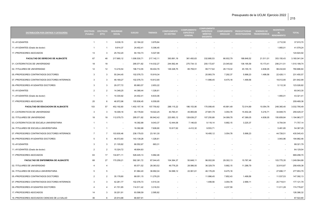| ۰.<br>× |
|---------|
|         |

| <b>DISTRIBUCIÓN POR CENTROS Y CATEGORÍAS</b>  | <b>EFECTIVOS</b><br>(Totales) | <b>EFECTIVOS</b><br>(ETC) | <b>SEGURIDAD</b><br><b>SOCIAL</b> | <b>SUELDO</b> | <b>TRIENIOS</b> | <b>COMPLEMENTO</b><br><b>DE DESTINO</b> | <b>COMPLEMENTO</b><br><b>ESPECÍFICO</b><br><b>GENERAL</b> | <b>COMPLEMENTO</b><br><b>ESPECÍFICO</b><br><b>MÉRITOS</b><br><b>DOCENTES</b> | <b>COMPLEMENTO</b><br><b>SINGULAR</b> | <b>PRODUCTIVIDAD</b> | <b>SEXENIOS DE</b><br>INVESTIGADORA TRANSFERENCIA | <b>INCENTIVOS</b><br>$A \Box$<br><b>RENDIMIENTO</b> | <b>TOTAL</b> |
|-----------------------------------------------|-------------------------------|---------------------------|-----------------------------------|---------------|-----------------|-----------------------------------------|-----------------------------------------------------------|------------------------------------------------------------------------------|---------------------------------------|----------------------|---------------------------------------------------|-----------------------------------------------------|--------------|
| 10.-AYUDANTES                                 | $\mathbf{1}$                  | $\overline{1}$            | 9.039,15                          | 22.184,22     | 3.979,84        |                                         |                                                           |                                                                              |                                       |                      |                                                   | 2.712,50                                            | 37.915,70    |
| 11.-AYUDANTES (Grado de doctor)               | $\overline{1}$                | $\overline{1}$            | 9.914,37                          | 24.402,41     | 5.306,45        |                                         |                                                           |                                                                              |                                       |                      |                                                   | 1.955,01                                            | 41.578,24    |
| 17.-PROFESORES ASOCIADOS                      | 13                            | 3                         | 25.742,20                         | 94.154,73     | 5.027,99        |                                         |                                                           |                                                                              |                                       |                      |                                                   | $\sim$                                              | 124.924,92   |
| FACULTAD DE DERECHO DE ALBACETE               | 67                            | 48                        | 217.660,12                        | 1.006.530,71  | 217.142,11      | 393.891,19                              | 361.493,63                                                | 332.880,53                                                                   | 66.932,79                             | 188.848,52           | 21.511,01                                         | 353.150,43                                          | 3.160.041,04 |
| 01.-CATEDRATICOS DE UNIVERSIDAD               | 18                            | 18                        | $\overline{\phantom{a}}$          | 295.071,82    | 114.032,27      | 244.562,44                              | 275.734,12                                                | 200.172,67                                                                   | 23.045,92                             | 136.195,59           | 15.173,41                                         | 206.211,51                                          | 1.510.199,74 |
| 02.-TITULARES DE UNIVERSIDAD                  | 12                            | 12                        | 13.216,54                         | 196.714,55    | 59.404,76       | 149.328,75                              | 85.759,51                                                 | 99.717,62                                                                    | 28.119,32                             | 45.155,15            | 4.838,05                                          | 98.432,60                                           | 780.686,84   |
| 05.-PROFESORES CONTRATADOS DOCTORES           | 3                             | $\mathbf{3}$              | 55.244,45                         | 102.076,73    | 15.919,34       |                                         | $\overline{\phantom{a}}$                                  | 20.993,79                                                                    | 7.292,37                              | 5.998,23             | 1.499,56                                          | 22.426,11                                           | 231.450,57   |
| 07.-PROFESORES CONTRATADOS DOCTORES INTERINOS | 3                             | 3                         | 48.169,27                         | 102.076,73    | 10.612,90       |                                         |                                                           | 11.996,45                                                                    | 8.475,18                              | 1.499,56             |                                                   | 19.012,90                                           | 201.842.99   |
| 09.-PROFESORES AYUDANTES DOCTORES             | $\mathbf{B}$                  | 3                         | 29.377,72                         | 85.883,57     | 2.653,22        |                                         |                                                           |                                                                              |                                       |                      |                                                   | 5.112,30                                            | 123.026,82   |
| 10.-AYUDANTES                                 | $\overline{2}$                | $\overline{2}$            | 14.348.25                         | 44.368,44     | 1.326,61        |                                         |                                                           |                                                                              |                                       |                      |                                                   |                                                     | 60.043,30    |
| 11.-AYUDANTES (Grado de doctor)               | $\overline{1}$                | $\overline{1}$            | 10.330,92                         | 24.402,41     | 6.633,06        |                                         |                                                           |                                                                              |                                       |                      |                                                   | 1.955,01                                            | 43.321,41    |
| 17.-PROFESORES ASOCIADOS                      | 25                            | 6                         | 46.972,96                         | 155.936,45    | 6.559,95        |                                         |                                                           |                                                                              |                                       |                      |                                                   |                                                     | 209.469,36   |
| <b>FACULTAD DE EDUCACION DE ALBACETE</b>      | 103                           | 57                        | 452.192,60                        | 1.402.157,16  | 157.750,62      | 288.115,22                              | 186.153,90                                                | 170.099,45                                                                   | 45.891,49                             | 72.014,89            | 10.054,76                                         | 248.365,40                                          | 3.032.795,49 |
| 01.-CATEDRATICOS DE UNIVERSIDAD               | 3                             | 3                         | 18.308,16                         | 49.178,64     | 19.022,25       | 40.760,41                               | 45.955,69                                                 | 27.681,79                                                                    | 3.054,78                              | 15.402,26            | 5.216,71                                          | 34.848,70                                           | 259.429,37   |
| 02.-TITULARES DE UNIVERSIDAD                  | 18                            | 18                        | 112.079,73                        | 295.071,82    | 90.942,42       | 223.993,12                              | 128.639,27                                                | 107.250,68                                                                   | 34.099,78                             | 47.389,05            | 4.838,05                                          | 150.659,84                                          | 1.194.963,77 |
| 03.-CATEDRATICOS DE ESCUELA UNIVERSITARIA     | $\overline{1}$                | $\overline{1}$            | $\sim$                            | 16.392,88     | 9.043,37        | 12.444,06                               | 7.146,63                                                  | 9.118,14                                                                     | 5.682,15                              | 3.225,37             |                                                   | 8.704,54                                            | 71.757,14    |
| 04.-TITULARES DE ESCUELA UNIVERSITARIA        | $\overline{1}$                | $\overline{1}$            |                                   | 16.392,88     | 7.608,90        | 10.917,62                               | 4.412,32                                                  | 9.553,71                                                                     |                                       |                      |                                                   | 5.481,85                                            | 54.367,29    |
| 07.-PROFESORES CONTRATADOS DOCTORES INTERINOS | $\overline{7}$                | $\overline{7}$            | 103.930,46                        | 238.179,03    | 23.161,30       |                                         |                                                           | 16.495,12                                                                    | 3.054,78                              | 5.998,23             |                                                   | 44.726,51                                           | 435.545,43   |
| 09.-PROFESORES AYUDANTES DOCTORES             | $\overline{5}$                | 5                         | 46.572,60                         | 143.139,28    | 1.326,61        |                                         |                                                           |                                                                              |                                       |                      |                                                   | 3.943,96                                            | 194.982,46   |
| 10.-AYUDANTES                                 | 3                             | 3                         | 21.105,82                         | 66.552,67     | 663,31          |                                         |                                                           |                                                                              |                                       |                      |                                                   |                                                     | 88.321,79    |
| 11.-AYUDANTES (Grado de doctor)               | $\overline{2}$                | $\overline{2}$            | 15.324,72                         | 48.804,83     |                 |                                         |                                                           |                                                                              |                                       |                      |                                                   |                                                     | 64.129,54    |
| 17.-PROFESORES ASOCIADOS                      | 63                            | 17                        | 134.871,11                        | 528.445,13    | 5.982,46        |                                         |                                                           |                                                                              |                                       |                      |                                                   |                                                     | 669.298,70   |
| FACULTAD DE ENFERMERIA DE ALBACETE            | 68                            | 27                        | 170.259,21                        | 592.381,72    | 87.044,45       | 104.364,37                              | 50.648,11                                                 | 96.002,08                                                                    | 29.302,13                             | 15.787,46            |                                                   | 103.775,35                                          | 1.249.564,88 |
| 02.-TITULARES DE UNIVERSIDAD                  | $\overline{4}$                | $\overline{4}$            | $\overline{a}$                    | 65.571,52     | 28.363,52       | 49.776,25                               | 28.586,50                                                 | 36.329,79                                                                    | 5.682,15                              | 11.288,79            |                                                   | 32.810,87                                           | 258.409,38   |
| 04.-TITULARES DE ESCUELA UNIVERSITARIA        | 5                             | -5                        | $\overline{\phantom{a}}$          | 81.964,40     | 36.992,04       | 54.588,12                               | 22.061,61                                                 | 46.176,28                                                                    | 8.475,18                              |                      |                                                   | 27.696,17                                           | 277.953,79   |
| 05.-PROFESORES CONTRATADOS DOCTORES           | $\overline{2}$                | $\overline{2}$            | 35.178,80                         | 68.051,15     | 11.276,20       |                                         | $\overline{\phantom{a}}$                                  | 11.996,45                                                                    | 7.852,43                              | 1.499,56             | $\overline{\phantom{a}}$                          | 11.537,53                                           | 147.392.13   |
| 07.-PROFESORES CONTRATADOS DOCTORES INTERINOS | $\mathbf{B}$                  | 3                         | 42.261,77                         | 102.076,73    | 4.510,34        |                                         |                                                           | 1.499,56                                                                     | 3.054,78                              | 2.999,11             |                                                   | 20.719,51                                           | 177.121,79   |
| 09.-PROFESORES AYUDANTES DOCTORES             | $\overline{a}$                | $\overline{4}$            | 41.701,85                         | 114.511,42    | 3.316,53        |                                         |                                                           |                                                                              | 4.237,59                              |                      |                                                   | 11.011,28                                           | 174.778,67   |
| 17.-PROFESORES ASOCIADOS                      | 14                            | 3                         | 30.201,91                         | 93.598,59     | 2.585,82        |                                         |                                                           |                                                                              |                                       |                      |                                                   |                                                     | 126.386,32   |
| 18.-PROFESORES ASOCIADOS CIENCIAS DE LA SALUD | 36                            | $\epsilon$                | 20.914.88                         | 66.607.91     |                 |                                         |                                                           |                                                                              |                                       |                      |                                                   |                                                     | 87.522.80    |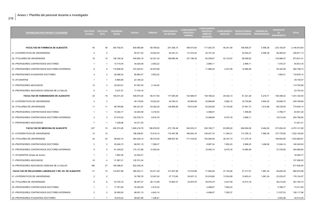| <b>DISTRIBUCIÓN POR CENTROS Y CATEGORÍAS</b>           | <b>EFECTIVOS</b><br>(Totales) | <b>EFECTIVOS</b><br>(ETC) | <b>SEGURIDAD</b><br><b>SOCIAL</b> | <b>SUELDO</b> | <b>TRIENIOS</b> | <b>COMPLEMENTO</b><br><b>DE DESTINO</b> | <b>COMPLEMENTO</b><br><b>ESPECÍFICO</b><br><b>GENERAL</b> | <b>COMPLEMENTO</b><br><b>ESPECÍFICO</b><br><b>MÉRITOS</b><br><b>DOCENTES</b> | <b>SINGULAR</b> | COMPLEMENTO PRODUCTIVIDAD<br>INVESTIGADORA TRANSFERENCIA | <b>SEXENIOS DE</b>       | INCENTIVOS<br>A1<br>RENDIMIENTO | <b>TOTAL</b> |
|--------------------------------------------------------|-------------------------------|---------------------------|-----------------------------------|---------------|-----------------|-----------------------------------------|-----------------------------------------------------------|------------------------------------------------------------------------------|-----------------|----------------------------------------------------------|--------------------------|---------------------------------|--------------|
|                                                        |                               |                           |                                   |               |                 |                                         |                                                           |                                                                              |                 |                                                          |                          |                                 |              |
| <b>FACULTAD DE FARMACIA DE ALBACETE</b>                | 50                            | 36                        | 305.792,91                        | 830.665,89    | 89.799,92       | 241.008,14                              | 168.473,64                                                | 117.363,78                                                                   | 46.341,46       | 108.585.57                                               | 5.595,36                 | 233.183,97                      | 2.146.810.64 |
| 01.-CATEDRATICOS DE UNIVERSIDAD                        | $\overline{4}$                | $\overline{4}$            |                                   | 65.571,52     | 19.022,25       | 54.347,21                               | 61.274,25                                                 | 42.161,35                                                                    |                 | 32.534,27                                                | 5.595,36                 | 46.464,93                       | 326.971,13   |
| 02.-TITULARES DE UNIVERSIDAD                           | 15                            | 15                        | 106.190,24                        | 245.893,19    | 42.351,34       | 186.660,94                              | 107.199,39                                                | 60.206,87                                                                    | 42.103,87       | 58.056,62                                                | $\overline{\phantom{a}}$ | 124.968,57                      | 973.631,01   |
| 05.-PROFESORES CONTRATADOS DOCTORES                    | $\mathbf{1}$                  | $\overline{1}$            | 15.719,76                         | 34.025,58     | 2.653,22        |                                         |                                                           | 2.999,11                                                                     |                 | 2.999,11                                                 |                          | 7.475,37                        | 65.872,16    |
| 07.-PROFESORES CONTRATADOS DOCTORES INTERINOS          | 8                             | 8                         | 118.068,55                        | 272.204,61    | 20.975,89       |                                         |                                                           | 11.996,45                                                                    | 4.237,59        | 14.995,56                                                |                          | 52.320,08                       | 494.798,73   |
| 09.-PROFESORES AYUDANTES DOCTORES                      | 3                             | 3                         | 28.386,34                         | 85.883,57     | 2.653,22        |                                         |                                                           |                                                                              |                 |                                                          |                          | 1.955,01                        | 118.878,14   |
| 10.-AYUDANTES                                          | $\overline{1}$                | $\overline{1}$            | 6.965,85                          | 22.184,22     |                 |                                         |                                                           |                                                                              |                 |                                                          |                          |                                 | 29.150,07    |
| 17.-PROFESORES ASOCIADOS                               | 13                            | 3                         | 25.024,91                         | 87.587,05     | 2.144,00        |                                         |                                                           |                                                                              |                 |                                                          |                          |                                 | 114.755,96   |
| 18.-PROFESORES ASOCIADOS CIENCIAS DE LA SALUD          | 5                             | $\overline{1}$            | 5.437,27                          | 17.316,16     | . —             |                                         |                                                           |                                                                              |                 |                                                          |                          |                                 | 22.753,43    |
| FACULTAD DE HUMANIDADES DE ALBACETE                    | 25                            | 19                        | 159.441,20                        | 409.874,54    | 85.417,85       | 177.645,09                              | 124.568,57                                                | 139.188,22                                                                   | 29.302,13       | 61.321,26                                                | 5.216,71                 | 149.358,42                      | 1.341.334,00 |
| 01.-CATEDRATICOS DE UNIVERSIDAD                        | 3                             | 3                         | $\overline{\phantom{a}}$          | 49.178,64     | 19.022,25       | 40.760,41                               | 45.955,69                                                 | 30.986,96                                                                    | 5.682,15        | 19.730,86                                                | 3.604,02                 | 34.848,70                       | 249.769,68   |
| 02.-TITULARES DE UNIVERSIDAD                           | 11                            | 11                        | 88.780,66                         | 180.321,67    | 53.262,29       | 136.884,69                              | 78.612,89                                                 | 93.205,69                                                                    | 15.144,80       | 37.091,73                                                | 1.612,68                 | 89.728,05                       | 774.645,14   |
| 05.-PROFESORES CONTRATADOS DOCTORES                    | $\overline{1}$                | $\overline{1}$            | 15.392,17                         | 34.025,58     | 3.316,53        |                                         |                                                           | 4.498,67                                                                     | $\sim$          | 1.499,56                                                 |                          | 5.768,77                        | 64.501,26    |
| 07.-PROFESORES CONTRATADOS DOCTORES INTERINOS          | 3                             | 3                         | 47.919,30                         | 102.076,73    | 9.816,79        |                                         |                                                           | 10.496,89                                                                    | 8.475,18        | 2.999,11                                                 |                          | 19.012,90                       | 200.796,90   |
| 17.-PROFESORES ASOCIADOS                               | $\overline{7}$                | $\overline{1}$            | 7.349,08                          | 44.271,93     |                 |                                         |                                                           |                                                                              |                 |                                                          |                          |                                 | 51.621,01    |
| <b>FACULTAD DE MEDICINA DE ALBACETE</b>                | 227                           | 74                        | 450.274,08                        | 1.600.218,79  | 186.878,05      | 473.155,48                              | 340.023,21                                                | 329.199,71                                                                   | 63.859,02       | 246.064,09                                               | 9.464,92                 | 373.004,45                      | 4.072.141,80 |
| 01.-CATEDRATICOS DE UNIVERSIDAD                        | 13                            | 12                        | $\overline{\phantom{a}}$          | 196.256,87    | 72.516,10       | 174.497,98                              | 168.504,18                                                | 149.427,16                                                                   | 11.364,31       | 113.795,12                                               | 7.965,36                 | 127.778,56                      | 1.022.105,65 |
| 02.-TITULARES DE UNIVERSIDAD                           | 24                            | 24                        | 98.902,15                         | 393.429,10    | 95.015,55       | 298.657,50                              | 171.519,02                                                | 154.280,09                                                                   | 36.167,10       | 111.275,19                                               | $\sim$                   | 194.604,90                      | 1.553.850,61 |
| 05.-PROFESORES CONTRATADOS DOCTORES                    | $\overline{2}$                | $\overline{2}$            | 35.406,73                         | 68.051,15     | 7.296,37        |                                         |                                                           | 8.997,34                                                                     | 7.852,43        | 5.998,23                                                 | 1.499,56                 | 13.244,14                       | 148.345,93   |
| 07.-PROFESORES CONTRATADOS DOCTORES INTERINOS          | 5                             | 5                         | 81.349,02                         | 170.127,88    | 12.050,04       |                                         |                                                           | 16.495,12                                                                    | 8.475,18        | 14.995,56                                                |                          | 37.376,85                       | 340.869,65   |
| 11.-AYUDANTES (Grado de doctor)                        | $\overline{1}$                |                           | 7.662,36                          | 24.402,41     |                 |                                         |                                                           |                                                                              |                 |                                                          |                          |                                 | 32.064,77    |
| 17.-PROFESORES ASOCIADOS                               | 16                            | $\overline{a}$            | 31.567,21                         | 125.701,04    |                 |                                         |                                                           |                                                                              |                 |                                                          |                          |                                 | 157.268.25   |
| 18.-PROFESORES ASOCIADOS CIENCIAS DE LA SALUD          | 166                           | 27                        | 195.386,61                        | 622.250,34    |                 |                                         |                                                           |                                                                              |                 |                                                          |                          |                                 | 817.636,94   |
| FACULTAD DE RELACIONES LABORALES Y RR. HH. DE ALBACETE | 21                            | 15                        | 133.637,88                        | 365.403,11    | 53.471,29       | 101.837,98                              | 73.516,88                                                 | 71.994,99                                                                    | 37.154,56       | 27.317,57                                                | 1.991,34                 | 94.650,39                       | 960.975,98   |
| 01.-CATEDRATICOS DE UNIVERSIDAD                        | $\overline{2}$                | $\overline{2}$            | $\overline{\phantom{a}}$          | 32.785,76     | 12.047,42       | 27.173,60                               | 30.637,12                                                 | 23.918,86                                                                    | 13.534,58       | 12.803,41                                                | 1.991,34                 | 23.232,47                       | 178.124,57   |
| 02.-TITULARES DE UNIVERSIDAD                           | 6                             | 6                         | 43.705,16                         | 98.357,27     | 26.113,99       | 74.664,37                               | 42.879,76                                                 | 39.078,79                                                                    | 4.237,59        | 14.514,16                                                |                          | 48.212,65                       | 391.763,74   |
| 05.-PROFESORES CONTRATADOS DOCTORES                    |                               |                           | 17.761,82                         | 34.025,58     | 4.510,34        |                                         |                                                           | 4.498,67                                                                     | 7.852,43        |                                                          |                          | 5.768,77                        | 74.417,60    |
| 07.-PROFESORES CONTRATADOS DOCTORES INTERINOS          | $\overline{2}$                | $\overline{2}$            | 30.095,00                         | 68.051,15     | 4.643,14        |                                         |                                                           | 4.498,67                                                                     | 7.292,37        |                                                          |                          | 11.537,53                       | 126.117,86   |
| 09-PROFESORES AYUDANTES DOCTORES                       |                               |                           | 10.616.02                         | 28.627.86     | 1.326.61        |                                         |                                                           |                                                                              |                 |                                                          |                          | 3.943.96                        | 44.514.45    |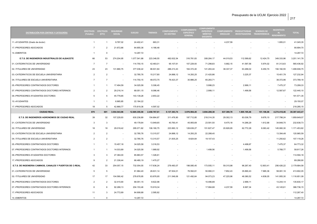| <b>DISTRIBUCIÓN POR CENTROS Y CATEGORÍAS</b>              | (Totales)      | EFECTIVOS EFECTIVOS<br>(ETC) | <b>SEGURIDAD</b><br><b>SOCIAL</b> | <b>SUELDO</b> | <b>TRIENIOS</b> | <b>COMPLEMENTO</b><br><b>DE DESTINO</b> | <b>COMPLEMENTO</b><br><b>ESPECÍFICO</b><br><b>GENERAL</b> | <b>COMPLEMENTO</b><br><b>ESPECÍFICO</b><br><b>MÉRITOS</b><br><b>DOCENTES</b> | <b>SINGULAR</b>          | COMPLEMENTO PRODUCTIVIDAD<br>INVESTIGADORA TRANSFERENCIA | <b>SEXENIOS DE</b> | INCENTIVOS<br>AL.<br>RENDIMIENTO | <b>TOTAL</b>  |
|-----------------------------------------------------------|----------------|------------------------------|-----------------------------------|---------------|-----------------|-----------------------------------------|-----------------------------------------------------------|------------------------------------------------------------------------------|--------------------------|----------------------------------------------------------|--------------------|----------------------------------|---------------|
| 11.-AYUDANTES (Grado de doctor)                           | $\overline{1}$ | $\overline{1}$               | 9.787,02                          | 24.402,41     | 663,31          |                                         |                                                           |                                                                              | 4.237,59                 |                                                          |                    | 1.955,01                         | 41.045,35     |
| 17.-PROFESORES ASOCIADOS                                  | $\overline{7}$ | $\overline{2}$               | 21.672,86                         | 64.855,36     | 4.166,48        |                                         |                                                           |                                                                              |                          |                                                          |                    | $\overline{\phantom{a}}$         | 90.694,70     |
| 14.-EMERITOS                                              | $\overline{1}$ | $\mathsf 0$                  |                                   | 14.297,72     |                 |                                         |                                                           |                                                                              |                          |                                                          |                    |                                  | 14.297,72     |
| E.T.S. DE INGENIEROS INDUSTRIALES DE ALBACETE             | 66             | 53                           | 274.204,95                        | 1.077.541,88  | 223.348,55      | 482.632,54                              | 316.781,83                                                | 308.264,17                                                                   | 44.019,53                | 112.589,62                                               | 12.424,75          | 349.333,96                       | 3.201.141,78  |
| 01.-CATEDRATICOS DE UNIVERSIDAD                           | $\overline{7}$ | $\overline{7}$               | $\sim$                            | 114.750,15    | 42.483,01       | 95.107,61                               | 107.229,93                                                | 71.298,83                                                                    | 5.682,15                 | 41.597,56                                                | 5.974,02           | 81.313,63                        | 565.436,92    |
| 02.-TITULARES DE UNIVERSIDAD                              | 23             | 23                           | 131.880,75                        | 377.036,22    | 96.931,84       | 286.213,43                              | 164.372,40                                                | 141.263,44                                                                   | 38.337,37                | 63.268,02                                                | 6.450,74           | 194.182,55                       | 1.499.936,75  |
| 03.-CATEDRATICOS DE ESCUELA UNIVERSITARIA                 | $\overline{2}$ | $\overline{2}$               | $\overline{\phantom{a}}$          | 32.785,76     | 15.217,80       | 24.888,12                               | 14.293,25                                                 | 21.420,86                                                                    | $\overline{\phantom{a}}$ | 3.225,37                                                 |                    | 15.401,78                        | 127.232,94    |
| 04.-TITULARES DE ESCUELA UNIVERSITARIA                    | $\overline{7}$ | $\overline{7}$               | $\overline{\phantom{a}}$          | 114.750,15    | 48.072,75       | 76.423,37                               | 30.886,25                                                 | 65.283,71                                                                    |                          |                                                          |                    | 38.372,96                        | 373.789,18    |
| 05.-PROFESORES CONTRATADOS DOCTORES                       | $\overline{1}$ | $\overline{1}$               | 17.494,59                         | 34.025,58     | 5.306,45        |                                         | $\overline{\phantom{a}}$                                  | 5.998,23                                                                     |                          | 2.999,11                                                 |                    | 7.475,37                         | 73.299,33     |
| 07.-PROFESORES CONTRATADOS DOCTORES INTERINOS             | $\overline{2}$ | $\overline{2}$               | 29.216,14                         | 68.051,15     | 8.086,46        |                                         |                                                           | 2.999,11                                                                     |                          | 1.499,56                                                 |                    | 12.587,67                        | 122.440,10    |
| 09.-PROFESORES AYUDANTES DOCTORES                         | 5              | 5                            | 45.778,85                         | 143.139,28    | 2.653,22        |                                         |                                                           |                                                                              |                          |                                                          |                    |                                  | 191.571,35    |
| 10.-AYUDANTES                                             | $\overline{1}$ | $\overline{1}$               | 6.965,85                          | 22.184,22     |                 |                                         |                                                           |                                                                              |                          |                                                          |                    |                                  | 29.150,07     |
| 17.-PROFESORES ASOCIADOS                                  | 18             | 5                            | 42.868,77                         | 170.819,36    | 4.597,02        |                                         |                                                           |                                                                              |                          |                                                          |                    |                                  | 218.285,15    |
| <b>CIUDAD REAL</b>                                        | 875            | 601                          | 3.554.543.96                      | 12.605.355,58 | 2.450.767.61    | 5.137.383.74                            | 3.976.994.45                                              | 3.694.288.38                                                                 | 637.389,78               | 1.905.195,46                                             | 151.106.06         | 4.274.418.46                     | 38.387.443,47 |
| E.T.S. DE INGENIEROS AGRONOMOS DE CIUDAD REAL             | 39             | 32                           | 107.229,93                        | 630.236,89    | 154.864,87      | 311.476,90                              | 197.712,85                                                | 218.314,35                                                                   | 29.302,13                | 83.036,79                                                | 9.676,10           | 217.798,24                       | 1.959.649,07  |
| 01.-CATEDRATICOS DE UNIVERSIDAD                           | 3              | $\mathbf{3}$                 | $\overline{\phantom{a}}$          | 49.178,64     | 13.949,65       | 40.760,41                               | 45.955,69                                                 | 23.591,50                                                                    | 8.475,18                 | 14.266,29                                                | 1.612,68           | 34.848,70                        | 232.638,73    |
| 02.-TITULARES DE UNIVERSIDAD                              | 18             | 18                           | 29.018,42                         | 295.071,82    | 106.180,75      | 223.993,12                              | 128.639,27                                                | 151.827,47                                                                   | 20.826,95                | 62.772,28                                                | 8.063,42           | 145.060,30                       | 1.171.453,82  |
| 03.-CATEDRATICOS DE ESCUELA UNIVERSITARIA                 | $\overline{2}$ | $\overline{2}$               | $\overline{\phantom{a}}$          | 32.785,76     | 13.315,57       | 24.888,12                               | 14.293,25                                                 | 22.288,40                                                                    |                          |                                                          |                    | 13.394,48                        | 120.965,59    |
| 04.-TITULARES DE ESCUELA UNIVERSITARIA                    | 2              | $\overline{2}$               | $\sim$                            | 32.785,76     | 13.315,57       | 21.835,25                               | 8.824,64                                                  | 19.107,43                                                                    |                          |                                                          |                    | 11.250,62                        | 107.119,26    |
| 05.-PROFESORES CONTRATADOS DOCTORES                       | $\mathbf{1}$   | $\overline{1}$               | 15.457,18                         | 34.025,58     | 3.316,53        |                                         |                                                           |                                                                              |                          | 4.498,67                                                 |                    | 7.475,37                         | 64.773,32     |
| 07.-PROFESORES CONTRATADOS DOCTORES INTERINOS             | $\overline{1}$ | $\overline{1}$               | 14.033.89                         | 34.025,58     | 1.989.92        |                                         |                                                           | 1.499.56                                                                     |                          | 1.499,56                                                 |                    | 5.768,77                         | 58.817.26     |
| 09.-PROFESORES AYUDANTES DOCTORES                         | 3              | 3                            | 27.384,00                         | 85.883,57     | 1.326,61        |                                         |                                                           |                                                                              |                          |                                                          |                    |                                  | 114.594,18    |
| 17.-PROFESORES ASOCIADOS                                  | 9              | 2                            | 21.336,44                         | 66.480,19     | 1.470,27        |                                         |                                                           |                                                                              |                          |                                                          |                    |                                  | 89.286,90     |
| E.T.S. DE INGENIERIA CAMINOS, CANALES Y PUERTOS DE C-REAL | 42             | 33                           | 254.057,15                        | 732.054,55    | 117.636,24      | 279.483,07                              | 198.085,45                                                | 173.555,11                                                                   | 59.315,98                | 96.267,40                                                | 12.803,41          | 256.426,22                       | 2.179.684,58  |
| 01.-CATEDRATICOS DE UNIVERSIDAD                           | 5              | $5\phantom{.0}$              | $\sim$                            | 81.964,40     | 26.631,14       | 67.934,01                               | 76.592,81                                                 | 50.990,31                                                                    | 7.852,43                 | 35.890,43                                                | 7.965,36           | 58.081,16                        | 413.902,05    |
| 02.-TITULARES DE UNIVERSIDAD                              | 17             | 17                           | 104.580,42                        | 278.678,95    | 63.876,95       | 211.549,06                              | 121.492,64                                                | 94.073,23                                                                    | 47.225,96                | 48.380,52                                                | 4.838,05           | 141.955,30                       | 1.116.651,08  |
| 05.-PROFESORES CONTRATADOS DOCTORES                       | $\overline{2}$ | $\overline{2}$               | 32.415,90                         | 68.051,15     | 8.622,98        |                                         | $\overline{\phantom{a}}$                                  | 10.496,89                                                                    |                          | 2.999,11                                                 |                    | 13.244,14                        | 135.830,17    |
| 07.-PROFESORES CONTRATADOS DOCTORES INTERINOS             | 6              | 6                            | 92.288,13                         | 204.153,46    | 15.919,34       |                                         |                                                           | 17.994,68                                                                    | 4.237,59                 | 8.997,34                                                 |                    | 43.145,61                        | 386.736,15    |
| 17.-PROFESORES ASOCIADOS                                  | 11             | 3                            | 24.772,69                         | 84.908,88     | 2.585,82        |                                         |                                                           |                                                                              |                          |                                                          |                    |                                  | 112.267,40    |
| 14.-EMERITOS                                              |                | $\mathbf 0$                  |                                   | 14.297,72     |                 |                                         |                                                           |                                                                              |                          |                                                          |                    |                                  | 14.297.72     |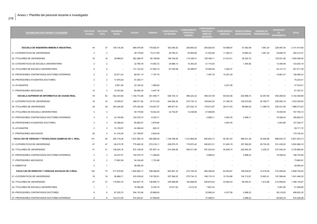| <b>DISTRIBUCIÓN POR CENTROS Y CATEGORÍAS</b>           | <b>EFECTIVOS</b><br>(Totales) | <b>EFECTIVOS</b><br>(ETC) | <b>SEGURIDAD</b><br><b>SOCIAL</b> | <b>SUELDO</b> | <b>TRIENIOS</b> | <b>COMPLEMENTO</b><br><b>DE DESTINO</b> | <b>COMPLEMENTO</b><br><b>ESPECÍFICO</b><br><b>GENERAL</b> | <b>COMPLEMENTO</b><br><b>ESPECÍFICO</b><br><b>MERITOS</b><br><b>DOCENTES</b> | <b>COMPLEMENTO</b><br><b>SINGULAR</b> | <b>PRODUCTIVIDAD</b><br>INVESTIGADORA TRANSFERENCIA | <b>SEXENIOS DE</b> | <b>INCENTIVOS</b><br>AL.<br><b>RENDIMIENTO</b> | <b>TOTAL</b> |
|--------------------------------------------------------|-------------------------------|---------------------------|-----------------------------------|---------------|-----------------|-----------------------------------------|-----------------------------------------------------------|------------------------------------------------------------------------------|---------------------------------------|-----------------------------------------------------|--------------------|------------------------------------------------|--------------|
| <b>ESCUELA DE INGENIERIA MINERA E INDUSTRIAL</b>       | 44                            | 37                        | 109.134,38                        | 690.979,94    | 179.620,91      | 352.094,52                              | 209.893.52                                                | 256.629,45                                                                   | 54.999,97                             | 57.582,99                                           | 1.991,34           | 228.487,54                                     | 2.141.414.56 |
| 01.-CATEDRATICOS DE UNIVERSIDAD                        | 3                             | 3                         | $\sim$                            | 49.178,64     | 15.217,80       | 40.760,41                               | 45.955,69                                                 | 31.002,96                                                                    | 11.364,31                             | 19.992,44                                           | 1.991,34           | 34.848,70                                      | 250.312,27   |
| 02.-TITULARES DE UNIVERSIDAD                           | 16                            | 16                        | 29.899,67                         | 262.286,07    | 85.199,88       | 199.105,00                              | 114.346,01                                                | 126.358,11                                                                   | 21.814,41                             | 36.225,74                                           |                    | 125.221,56                                     | 1.000.456,45 |
| 03.-CATEDRATICOS DE ESCUELA UNIVERSITARIA              | $\overline{2}$                | $\overline{2}$            | $\overline{\phantom{a}}$          | 32.785,76     | 14.583,72       | 24.888,12                               | 14.293,25                                                 | 21.710,04                                                                    | $\overline{\phantom{a}}$              | 1.364,82                                            |                    | 13.394,48                                      | 123.020,19   |
| 04.-TITULARES DE ESCUELA UNIVERSITARIA                 | 8                             | 8                         | $\overline{\phantom{a}}$          | 131.143,03    | 51.994,14       | 87.340,99                               | 35.298,57                                                 | 70.060,56                                                                    | 7.292,37                              |                                                     |                    | 44.141,72                                      | 427.271,38   |
| 07.-PROFESORES CONTRATADOS DOCTORES INTERINOS          | $\overline{2}$                | $\overline{2}$            | 32.571,24                         | 68.051,15     | 7.187,70        |                                         |                                                           | 7.497,78                                                                     | 10.291,29                             |                                                     |                    | 10.881,07                                      | 136.480,23   |
| 09.-PROFESORES AYUDANTES DOCTORES                      | $\overline{2}$                | $\overline{2}$            | 17.978,29                         | 57.255,71     |                 |                                         |                                                           |                                                                              |                                       |                                                     |                    |                                                | 75.234,01    |
| 10.-AYUDANTES                                          | $\overline{1}$                | $\overline{1}$            | 8.921,28                          | 22.184,22     | 1.989,92        |                                         |                                                           |                                                                              | 4.237,59                              |                                                     |                    |                                                | 37.333,01    |
| 17.-PROFESORES ASOCIADOS                               | 10                            | 3                         | 19.763,90                         | 68.095,35     | 3.447,76        |                                         |                                                           |                                                                              |                                       |                                                     |                    |                                                | 91.307,01    |
| ESCUELA SUPERIOR DE INFORMATICA DE CIUDAD REAL         | 78                            | 62                        | 402.303,80                        | 1.183.772,66  | 251.480,71      | 638.193,12                              | 496.223,23                                                | 369.327,09                                                                   | 65.833,94                             | 202.966,73                                          | 32.057,56          | 500.269,83                                     | 4.142.428,68 |
| 01.-CATEDRATICOS DE UNIVERSIDAD                        | 18                            | 18                        | 19.059,07                         | 295.071,82    | 97.013,45       | 244.562,44                              | 275.734,12                                                | 159.645,25                                                                   | 31.306,76                             | 100.972,69                                          | 20.768,77          | 209.092,19                                     | 1.453.226,55 |
| 02.-TITULARES DE UNIVERSIDAD                           | 29                            | 29                        | 254.246,09                        | 475.393,50    | 119.957,07      | 360.877,81                              | 207.252,15                                                | 179.613,87                                                                   | 28.417,63                             | 98.994,93                                           | 11.288,79          | 252.431,69                                     | 1.988.473,53 |
| 04.-TITULARES DE ESCUELA UNIVERSITARIA                 | 3                             | 3                         |                                   | 49.178,64     | 19.022,25       | 32.752,87                               | 13.236,96                                                 | 27.068,85                                                                    | $\overline{\phantom{a}}$              |                                                     |                    | 16.445,55                                      | 157.705,12   |
| 07.-PROFESORES CONTRATADOS DOCTORES INTERINOS          | 3                             | 3                         | 43.155,69                         | 102.076,73    | 8.220,71        |                                         |                                                           | 2.999,11                                                                     | 3.054,78                              | 2.999,11                                            |                    | 18.356,44                                      | 180.862,57   |
| 09.-PROFESORES AYUDANTES DOCTORES                      | 3                             | 3                         | 30.386,62                         | 85.883,57     | 3.979,84        |                                         |                                                           |                                                                              | 3.054,78                              |                                                     |                    | 3.943,96                                       | 127.248,77   |
| 10.-AYUDANTES                                          | $\overline{2}$                | $\overline{2}$            | 14.139,97                         | 44.368,44     | 663,31          |                                         |                                                           |                                                                              |                                       |                                                     |                    |                                                | 59.171,72    |
| 17.-PROFESORES ASOCIADOS                               | 20                            | $\overline{4}$            | 41.316,36                         | 131.799,97    | 2.624,09        |                                         |                                                           |                                                                              |                                       |                                                     |                    |                                                | 175.740,42   |
| FACULTAD DE CIENCIAS Y TECNOLOGIAS QUIMICAS DE C. REAL | 101                           | 93                        | 255.179,38                        | 1.627.580,18  | 482.968,05      | 1.148.786,26                            | 1.012.984,08                                              | 845.853,13                                                                   | 92.281,93                             | 566.531,36                                          | 32.945,66          | 886.833,70                                     | 6.951.943,73 |
| 01.-CATEDRATICOS DE UNIVERSIDAD                        | 47                            | 47                        | 66.015,78                         | 770.465,32    | 272.018,11      | 638.579,70                              | 719.972.42                                                | 492.651,51                                                                   | 51.645,19                             | 357.582,83                                          | 29.720,29          | 531.435,02                                     | 3.930.086.16 |
| 02.-TITULARES DE UNIVERSIDAD                           | 41                            | 41                        | 126.524,16                        | 672.108,05    | 197.957,14      | 510.206,56                              | 293.011,66                                                | 347.203,40                                                                   | 40.636,74                             | 202.950,30                                          | 3.225,37           | 337.042,24                                     | 2.730.865,62 |
| 07.-PROFESORES CONTRATADOS DOCTORES INTERINOS          | 3                             | 3                         | 45.037,07                         | 102.076,73    | 11.268,92       |                                         |                                                           | 5.998,23                                                                     |                                       | 5.998,23                                            |                    | 18.356,44                                      | 188.735,60   |
| 17.-PROFESORES ASOCIADOS                               | 8                             | $\overline{2}$            | 17.602,38                         | 54.334,65     | 1.723,88        |                                         |                                                           |                                                                              |                                       |                                                     |                    |                                                | 73.660,91    |
| 14.-EMERITOS                                           | $\overline{2}$                | $\overline{1}$            | $\sim$                            | 28.595,44     |                 |                                         |                                                           |                                                                              |                                       |                                                     |                    |                                                | 28.595,44    |
| FACULTAD DE DERECHO Y CIENCIAS SOCIALES DE C-REAL      | 104                           | 75                        | 517.916,95                        | 1.654.892,17  | 338.068,80      | 603.991,33                              | 473.105,34                                                | 484.290,84                                                                   | 63.504,87                             | 186.054,67                                          | 14.416,09          | 512.494,94                                     | 4.848.736,00 |
| 01.-CATEDRATICOS DE UNIVERSIDAD                        | 19                            | 18                        | 56.888,71                         | 303.039,42    | 118.782,81      | 257.084,02                              | 275.734,12                                                | 199.174,74                                                                   | 15.704,86                             | 104.712,81                                          | 12.803,41          | 197.569,46                                     | 1.541.494,35 |
| 02.-TITULARES DE UNIVERSIDAD                           | 27                            | 27                        | 119.563,16                        | 442.607,74    | 138.880,73      | 335.989,68                              | 192.958,90                                                | 206.675,52                                                                   | 43.562,43                             | 69.345,41                                           | 1.612,68           | 214.949,62                                     | 1.766.145,87 |
| 04.-TITULARES DE ESCUELA UNIVERSITARIA                 | $\overline{1}$                | $\mathbf{1}$              |                                   | 16.392,88     | 6.340,75        | 10.917,62                               | 4.412,32                                                  | 7.961,43                                                                     |                                       |                                                     |                    | 5.481,85                                       | 51.506,85    |
| 05.-PROFESORES CONTRATADOS DOCTORES                    | 6                             | 6                         | 97.035,70                         | 204.153,46    | 25.868,93       |                                         |                                                           | 32.990,24                                                                    | 4.237,59                              | 5.998,23                                            |                    | 36.319,20                                      | 406.603,35   |
| 07.-PROFESORES CONTRATADOS DOCTORES INTERINOS          | 8                             | 8                         | 123.213.05                        | 272.204.61    | 27.858,85       |                                         |                                                           | 37.488,91                                                                    |                                       | 5.998.23                                            |                    | 49.563,34                                      | 516.326,98   |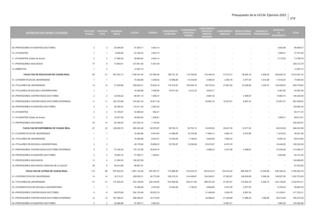| ۰, |  |
|----|--|
|----|--|

| <b>DISTRIBUCIÓN POR CENTROS Y CATEGORÍAS</b>  | <b>EFECTIVOS</b><br>(Totales) | <b>EFECTIVOS</b><br>(ETC) | <b>SEGURIDAD</b><br><b>SOCIAL</b> | <b>SUELDO</b> | <b>TRIENIOS</b> | <b>COMPLEMENTO</b><br><b>DE DESTINO</b> | <b>COMPLEMENTO</b><br>ESPECÍFICO<br><b>GENERAL</b> | <b>COMPLEMENTO</b><br><b>ESPECÍFICO</b><br><b>MERITOS</b><br><b>DOCENTES</b> | <b>SINGULAR</b> | COMPLEMENTO PRODUCTIVIDAD<br>INVESTIGADORA TRANSFERENCIA | <b>SEXENIOS DE</b>       | <b>INCENTIVOS</b><br>AL.<br><b>RENDIMIENTO</b> | <b>TOTAL</b> |
|-----------------------------------------------|-------------------------------|---------------------------|-----------------------------------|---------------|-----------------|-----------------------------------------|----------------------------------------------------|------------------------------------------------------------------------------|-----------------|----------------------------------------------------------|--------------------------|------------------------------------------------|--------------|
| 09.-PROFESORES AYUDANTES DOCTORES             | $\overline{2}$                | $\overline{2}$            | 20.646,55                         | 57.255,71     | 4.643,14        |                                         |                                                    |                                                                              |                 |                                                          |                          | 3.943,96                                       | 86.489,37    |
| 10.-AYUDANTES                                 |                               | -1                        | 9.009,58                          | 22.184,22     | 4.643,14        |                                         |                                                    |                                                                              |                 |                                                          |                          | 1.955,01                                       | 37.791,95    |
| 11.-AYUDANTES (Grado de doctor)               | $\overline{2}$                | $\overline{2}$            | 17.606,29                         | 48.804,83     | 4.643,14        |                                         |                                                    |                                                                              |                 |                                                          |                          | 2.712,50                                       | 73.766,76    |
| 17.-PROFESORES ASOCIADOS                      | 37                            | 9                         | 73.953,91                         | 273.951,59    | 6.407,29        |                                         |                                                    |                                                                              |                 |                                                          |                          | $\overline{\phantom{a}}$                       | 354.312,79   |
| 14.-EMERITOS                                  | -1                            | $\overline{0}$            |                                   | 14.297,72     |                 |                                         |                                                    |                                                                              |                 |                                                          |                          |                                                | 14.297,72    |
| FACULTAD DE EDUCACION DE CIUDAD REAL          | 90                            | 51                        | 381.932,13                        | 1.349.347,40  | 137.565,48      | 198.721,30                              | 119.783,65                                         | 134.346,42                                                                   | 47.074,31       | 39.920,16                                                | 4.838,05                 | 205.832,34                                     | 2.619.361,23 |
| 01.-CATEDRATICOS DE UNIVERSIDAD               | -1                            | - 1                       | $\overline{\phantom{a}}$          | 16.392,88     | 4.438,52        | 13.586,80                               | 15.318,56                                          | 5.066,04                                                                     | 3.054,78        | 2.977,50                                                 | 1.612,68                 | 11.616,23                                      | 74.064,00    |
| 02.-TITULARES DE UNIVERSIDAD                  | 14                            | 14                        | 27.249,88                         | 229.500,31    | 75.632,16       | 174.216,87                              | 100.052,76                                         | 89.735,54                                                                    | 27.691,92       | 23.446,66                                                | 3.225,37                 | 104.026,93                                     | 854.778,40   |
| 04.-TITULARES DE ESCUELA UNIVERSITARIA        | $\mathbf{1}$                  | $\overline{1}$            |                                   | 16.392,88     | 7.608,90        | 10.917,62                               | 4.412,32                                           | 9.553,71                                                                     |                 |                                                          |                          | 5.481,85                                       | 54.367,29    |
| 05.-PROFESORES CONTRATADOS DOCTORES           | $\overline{2}$                | $\overline{2}$            | 32.535,22                         | 68.051,15     | 7.296,37        |                                         |                                                    | 8.997,34                                                                     |                 | 4.498,67                                                 |                          | 14.950,74                                      | 136.329,48   |
| 07.-PROFESORES CONTRATADOS DOCTORES INTERINOS | 11                            | 11                        | 162.723,89                        | 374.281,33    | 30.811,38       |                                         |                                                    | 20.993,79                                                                    | 16.327,61       | 8.997,34                                                 |                          | 67.801,57                                      | 681.936,92   |
| 09.-PROFESORES AYUDANTES DOCTORES             | $\overline{4}$                | $\overline{4}$            | 36.789,70                         | 114.511,42    | 2.653,22        |                                         |                                                    |                                                                              |                 |                                                          |                          | $\overline{\phantom{a}}$                       | 153.954,35   |
| 10.-AYUDANTES                                 | $\overline{2}$                | $\overline{2}$            | 14.139,97                         | 44.368,44     | 663,31          |                                         |                                                    |                                                                              |                 |                                                          |                          |                                                | 59.171,72    |
| 11.-AYUDANTES (Grado de doctor)               | $\overline{2}$                | $\overline{2}$            | 16.327,06                         | 48.804,83     | 1.326,61        |                                         |                                                    |                                                                              |                 |                                                          |                          | 1.955,01                                       | 68.413,51    |
| 17.-PROFESORES ASOCIADOS                      | 53                            | 14                        | 92.166,42                         | 437.044,15    | 7.135,00        |                                         |                                                    |                                                                              |                 |                                                          |                          |                                                | 536.345,57   |
| <b>FACULTAD DE ENFERMERIA DE CIUDAD REAL</b>  | 61                            | 22                        | 146.820,75                        | 485.263,48    | 62.979,87       | 58.783,74                               | 35.702,15                                          | 53.200,83                                                                    | 26.247,35       | 13.071,53                                                |                          | 66.233,89                                      | 948.303.59   |
| 01.-CATEDRATICOS DE UNIVERSIDAD               | $\overline{1}$                |                           |                                   | 16.392,88     | 6.974,82        | 13.586,80                               | 15.318,56                                          | 11.883,14                                                                    | 5.682,15        | 8.572,86                                                 |                          | 11.616,23                                      | 90.027,46    |
| 02.-TITULARES DE UNIVERSIDAD                  |                               |                           |                                   | 16.392,88     | 9.043,37        | 12.444,06                               | 7.146,63                                           | 9.842,89                                                                     | 7.852,43        |                                                          |                          | 6.697,24                                       | 69.419,50    |
| 04.-TITULARES DE ESCUELA UNIVERSITARIA        | 3                             | 3                         |                                   | 49.178,64     | 19.656,32       | 32.752,87                               | 13.236,96                                          | 25.476,57                                                                    | 8.475,18        |                                                          |                          | 16.445,55                                      | 165.222,09   |
| 07.-PROFESORES CONTRATADOS DOCTORES INTERINOS | 5                             | 5                         | 74.708,36                         | 170.127,88    | 25.978,75       |                                         |                                                    | 5.998,23                                                                     | 4.237,59        | 4.498,67                                                 |                          | 27.530,90                                      | 313.080,37   |
| 09.-PROFESORES AYUDANTES DOCTORES             | $\overline{2}$                | $\overline{2}$            | 19.605,16                         | 57.255,71     | 1.326,61        |                                         |                                                    |                                                                              |                 |                                                          |                          | 3.943,96                                       | 82.131,45    |
| 17.-PROFESORES ASOCIADOS                      | 13                            | $\overline{4}$            | 31.592,35                         | 109.307,58    |                 |                                         |                                                    |                                                                              |                 |                                                          |                          |                                                | 140.899,93   |
| 18.-PROFESORES ASOCIADOS CIENCIAS DE LA SALUD | 36                            | 6                         | 20.914,88                         | 66.607,91     |                 |                                         |                                                    |                                                                              |                 |                                                          |                          |                                                | 87.522.80    |
| <b>FACULTAD DE LETRAS DE CIUDAD REAL</b>      | 110                           | 88                        | 570.523,53                        | 1.961.144,26  | 397.467,37      | 712.865,85                              | 514.618,16                                         | 603.915,33                                                                   | 104.510,04      | 266.369,73                                               | 13.545,66                | 635.304,24                                     | 5.780.264.16 |
| 01.-CATEDRATICOS DE UNIVERSIDAD               | 14                            | 14                        | 16.712,31                         | 229.500,31    | 92.772,99       | 190.215,23                              | 214.459,87                                         | 154.340,61                                                                   | 27.953,67       | 108.545,68                                               | 5.595,36                 | 162.627,26                                     | 1.202.723.29 |
| 02.-TITULARES DE UNIVERSIDAD                  | 41                            | 41                        | 137.022,20                        | 672.108,05    | 230.316,94      | 510.206,56                              | 293.011,66                                         | 368.767,05                                                                   | 37.007,91       | 133.852,76                                               | 6.450,74                 | 334.130,55                                     | 2.722.874,41 |
| 03.-CATEDRATICOS DE ESCUELA UNIVERSITARIA     | $\overline{1}$                | $\overline{1}$            | $\sim$                            | 16.392,88     | 5.072,60        | 12.444,06                               | 7.146,63                                           | 8.828,96                                                                     | 4.237,59        | 2.977,50                                                 |                          | 8.704,54                                       | 65.804,76    |
| 05.-PROFESORES CONTRATADOS DOCTORES           | 6                             | 6                         | 99.575,89                         | 204.153,46    | 28.522,16       |                                         |                                                    | 31.490,68                                                                    | 3.054,78        | 8.997,34                                                 | $\overline{\phantom{a}}$ | 41.439,01                                      | 417.233,31   |
| 07.-PROFESORES CONTRATADOS DOCTORES INTERINOS | 12                            | 12                        | 187.395,57                        | 408.306,91    | 33.719,94       |                                         |                                                    | 40.488,02                                                                    | 21.348,89       | 11.996,45                                                | 1.499,56                 | 80.514,95                                      | 785.270,29   |
| 09.-PROFESORES AYUDANTES DOCTORES             | 2                             | $\mathcal{P}$             | 24.656.89                         | 57.255,71     | 2.653.22        |                                         |                                                    |                                                                              | 10.907,21       |                                                          |                          | 7.887,92                                       | 103.360.96   |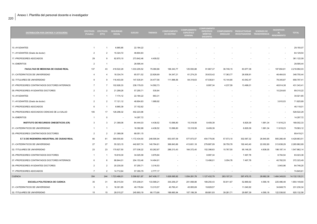| <b>DISTRIBUCIÓN POR CENTROS Y CATEGORÍAS</b>  | <b>EFECTIVOS</b><br>(Totales) | <b>EFECTIVOS</b><br>(ETC) | <b>SEGURIDAD</b><br><b>SOCIAL</b> | <b>SUELDO</b> | <b>TRIENIOS</b>          | <b>COMPLEMENTO</b><br><b>DE DESTINO</b> | <b>COMPLEMENTO</b><br><b>ESPECÍFICO</b><br><b>GENERAL</b> | COMPLEMENTO<br><b>ESPECÍFICO</b><br><b>MÉRITOS</b><br><b>DOCENTES</b> | <b>SINGULAR</b>          | COMPLEMENTO PRODUCTIVIDAD<br>INVESTIGADORA TRANSFERENCIA | <b>SEXENIOS DE</b> | <b>INCENTIVOS</b><br>AL.<br><b>RENDIMIENTO</b> | <b>TOTAL</b>  |
|-----------------------------------------------|-------------------------------|---------------------------|-----------------------------------|---------------|--------------------------|-----------------------------------------|-----------------------------------------------------------|-----------------------------------------------------------------------|--------------------------|----------------------------------------------------------|--------------------|------------------------------------------------|---------------|
|                                               |                               |                           |                                   |               |                          |                                         |                                                           |                                                                       |                          |                                                          |                    |                                                |               |
| 10.-AYUDANTES                                 | $\mathbf{1}$                  | $\overline{1}$            | 6.965,85                          | 22.184,22     |                          |                                         |                                                           |                                                                       |                          |                                                          |                    |                                                | 29.150,07     |
| 11.-AYUDANTES (Grado de doctor)               | $\overline{2}$                | $\overline{2}$            | 15.324,72                         | 48.804,83     |                          |                                         |                                                           |                                                                       |                          |                                                          |                    |                                                | 64.129,54     |
| 17.-PROFESORES ASOCIADOS                      | 29                            | 9                         | 82.870,10                         | 273.842,46    | 4.409,52                 |                                         |                                                           |                                                                       |                          |                                                          |                    |                                                | 361.122,09    |
| 14.-EMERITOS                                  | $\overline{2}$                | $\overline{1}$            | $\overline{\phantom{a}}$          | 28.595,44     |                          |                                         |                                                           |                                                                       |                          |                                                          |                    |                                                | 28.595,44     |
| FACULTAD DE MEDICINA DE CIUDAD REAL           | 137                           | 43                        | 418.522,29                        | 1.033.205,52  | 75.080,86                | 166.343,77                              | 125.593,88                                                | 91.667,37                                                             | 36.746,15                | 83.977,38                                                |                    | 187.854,81                                     | 2.218.992,03  |
| 01.-CATEDRATICOS DE UNIVERSIDAD               | $\overline{\mathbf{A}}$       | $\overline{4}$            | 18.334,74                         | 65.571,52     | 22.826,69                | 54.347,21                               | 61.274,25                                                 | 35.633,42                                                             | 17.363,77                | 26.938,91                                                |                    | 46.464,93                                      | 348.755,44    |
| 02.-TITULARES DE UNIVERSIDAD                  | 9                             | 9                         | 116.403,00                        | 147.535,91    | 34.477,56                | 111.996,56                              | 64.319,63                                                 | 47.036,61                                                             | 15.144,80                | 43.542,47                                                |                    | 78.340,87                                      | 658.797,41    |
| 07.-PROFESORES CONTRATADOS DOCTORES INTERINOS | $\overline{7}$                | $\overline{7}$            | 102.926,33                        | 238.179,03    | 14.592,73                | $\overline{\phantom{a}}$                | $\overline{\phantom{a}}$                                  | 8.997,34                                                              | 4.237,59                 | 13.496,01                                                |                    | 48.914,38                                      | 431.343,41    |
| 09.-PROFESORES AYUDANTES DOCTORES             | $\overline{2}$                | $\overline{2}$            | 21.299,26                         | 57.255,71     | 530,64                   |                                         |                                                           |                                                                       |                          |                                                          |                    | 10.224,60                                      | 89.310,22     |
| 10.-AYUDANTES                                 |                               | $\overline{1}$            | 7.174,12                          | 22.184,22     | 663,31                   |                                         |                                                           |                                                                       |                          |                                                          |                    | $\overline{\phantom{a}}$                       | 30.021,65     |
| 11.-AYUDANTES (Grado de doctor)               | $\overline{2}$                | $\overline{2}$            | 17.121,12                         | 48.804,83     | 1.989,92                 |                                         |                                                           |                                                                       |                          |                                                          |                    | 3.910,03                                       | 71.825,89     |
| 17.-PROFESORES ASOCIADOS                      | 6                             | $\overline{1}$            | 8.965,39                          | 37.152,62     |                          |                                         |                                                           |                                                                       |                          |                                                          |                    | $\overline{\phantom{a}}$                       | 46.118,01     |
| 18.-PROFESORES ASOCIADOS CIENCIAS DE LA SALUD | 105                           | 17                        | 126.298,32                        | 402.223,96    |                          |                                         |                                                           |                                                                       |                          |                                                          |                    |                                                | 528.522,29    |
| 14.-EMERITOS                                  | $\mathbf{1}$                  | $^{\circ}$                | $\overline{\phantom{a}}$          | 14.297,72     | $\overline{\phantom{a}}$ |                                         |                                                           |                                                                       |                          | $\overline{\phantom{a}}$                                 |                    |                                                | 14.297,72     |
| <b>INSTITUTO DE RECURSOS CINEGETICOS (CR)</b> | 3                             | 3                         | 21.368,06                         | 84.444,03     | 4.438,52                 | 13.586,80                               | 15.318,56                                                 | 8.409,39                                                              | $\overline{\phantom{a}}$ | 6.829,39                                                 | 1.991,34           | 11.616,23                                      | 168.002,33    |
| 01.-CATEDRATICOS DE UNIVERSIDAD               | $\mathbf{1}$                  | $\overline{1}$            | $\overline{\phantom{a}}$          | 16.392,88     | 4.438,52                 | 13.586,80                               | 15.318,56                                                 | 8.409,39                                                              | $\blacksquare$           | 6.829,39                                                 | 1.991,34           | 11.616,23                                      | 78.583,12     |
| 05.-PROFESORES CONTRATADOS DOCTORES           | $\overline{2}$                | $\overline{2}$            | 21.368,06                         | 68.051,15     | $\sim$                   | $\overline{\phantom{a}}$                | $\overline{\phantom{a}}$                                  |                                                                       | $\overline{\phantom{a}}$ | $\sim$                                                   |                    | $\overline{\phantom{a}}$                       | 89.419,21     |
| E.T.S DE INGENIERIA INDUSTRIAL DE CIUDAD REAL | 66                            | 61                        | 369.555,60                        | 1.172.434,50  | 248.595,94               | 653.057,09                              | 577.973,57                                                | 454.779,06                                                            | 57.573,10                | 302.587,32                                               | 26.840,85          | 565.266,48                                     | 4.428.663,51  |
| 01.-CATEDRATICOS DE UNIVERSIDAD               | 27                            | 27                        | 55.323,15                         | 442.607,74    | 140.764,61               | 366.843,66                              | 413.601,18                                                | 279.887,09                                                            | 38.750,78                | 192.443,40                                               | 22.002,80          | 313.638,29                                     | 2.265.862,69  |
| 02.-TITULARES DE UNIVERSIDAD                  | 23                            | 23                        | 170.627,50                        | 377.036,22    | 83.262,87                | 286.213,43                              | 164.372,40                                                | 152.398,63                                                            | 15.767,55                | 95.148,35                                                | 4.838,05           | 198.197,14                                     | 1.547.862,14  |
| 05.-PROFESORES CONTRATADOS DOCTORES           | -1                            | $\overline{1}$            | 19.818,30                         | 34.025,58     | 3.979,84                 |                                         | $\overline{\phantom{a}}$                                  | 8.997,34                                                              | $\sim$                   | 7.497,78                                                 |                    | 8.704,54                                       | 83.023,38     |
| 07.-PROFESORES CONTRATADOS DOCTORES INTERINOS | 6                             | 6                         | 88.844,01                         | 204.153,46    | 14.494,91                |                                         | $\overline{\phantom{a}}$                                  | 13.496,01                                                             | 3.054,78                 | 7.497,78                                                 |                    | 40.782,55                                      | 372.323,49    |
| 09.-PROFESORES AYUDANTES DOCTORES             | $\overline{2}$                | $\overline{2}$            | 20.230,00                         | 57.255,71     | 3.316,53                 |                                         |                                                           |                                                                       |                          |                                                          |                    | 3.943,96                                       | 84.746,20     |
| 17.-PROFESORES ASOCIADOS                      | $\overline{7}$                | 2                         | 14.712,64                         | 57.355,79     | 2.777.17                 |                                         |                                                           |                                                                       |                          |                                                          |                    |                                                | 74.845,61     |
| <b>CUENCA</b>                                 | 354                           | 244                       | 1.723.486,01                      | 5.599.821,87  | 847.408,17               | 1.626.085,92                            | 1.054.281,78                                              | 1.127.432,79                                                          | 263.107,31               | 397.479,15                                               | 28.682,38          | 1.464.349,93                                   | 14.132.135,31 |
| <b>ESCUELA POLITECNICA DE CUENCA</b>          | 35                            | 31                        | 96.015,54                         | 570.208,01    | 133.589,21               | 330.259,27                              | 201.068,88                                                | 189.250,43                                                            | 50.811,67                | 52.869,92                                                | 4.590,18           | 225.486,48                                     | 1.854.149,60  |
| 01.-CATEDRATICOS DE UNIVERSIDAD               | 3                             | 3                         | 16.301,85                         | 49.178,64     | 13.315,57                | 40.760,41                               | 45.955,69                                                 | 19.828,57                                                             |                          | 11.040,92                                                |                    | 34.848,70                                      | 231.230,34    |

02.-TITULARES DE UNIVERSIDAD 15 15 28.015,27 245.893,19 66.173,66 186.660,94 107.199,39 89.881,93 39.281,71 29.897,39 4.590,18 122.538,92 920.132,58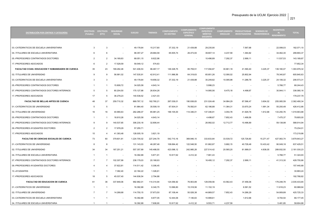**COLEMENT** 

| <b>DISTRIBUCIÓN POR CENTROS Y CATEGORÍAS</b>      | <b>EFECTIVOS</b><br>(Totales) | <b>EFECTIVOS</b><br>(ETC) | <b>SEGURIDAD</b><br><b>SOCIAL</b> | <b>SUELDO</b> | <b>TRIENIOS</b> | <b>COMPLEMENTO</b><br><b>DE DESTINO</b> | COMPLEMENTO<br><b>ESPECÍFICO</b><br><b>GENERAL</b> | <b>ESPECÍFICO</b><br><b>MÉRITOS</b><br><b>DOCENTES</b> | <b>COMPLEMENTO</b><br><b>SINGULAR</b> | <b>PRODUCTIVIDAD</b><br>INVESTIGADORA TRANSFERENCIA | <b>SEXENIOS DE</b> | <b>NCENTIVOS</b><br>RENDIMIENTO | <b>TOTAL</b> |
|---------------------------------------------------|-------------------------------|---------------------------|-----------------------------------|---------------|-----------------|-----------------------------------------|----------------------------------------------------|--------------------------------------------------------|---------------------------------------|-----------------------------------------------------|--------------------|---------------------------------|--------------|
|                                                   |                               |                           |                                   |               |                 |                                         |                                                    |                                                        |                                       |                                                     |                    |                                 |              |
| 03.-CATEDRATICOS DE ESCUELA UNIVERSITARIA         | 3                             | 3                         | $\overline{\phantom{a}}$          | 49.178,64     | 15.217,80       | 37.332,19                               | 21.439,88                                          | 29.235,90                                              | $\overline{\phantom{a}}$              | 7.567,68                                            |                    | 22.099,03                       | 182.071,10   |
| 04.-TITULARES DE ESCUELA UNIVERSITARIA            | 6                             | 6                         | $\sim$                            | 98.357,27     | 29.684,58       | 65.505,74                               | 26.473,93                                          | 39.807,14                                              | 4.237,59                              | 1.364,82                                            |                    | 34.462,30                       | 299.893,37   |
| 05.-PROFESORES CONTRATADOS DOCTORES               | $\overline{2}$                | $\overline{2}$            | 34.169,83                         | 68.051,15     | 8.622,98        |                                         |                                                    | 10.496,89                                              | 7.292,37                              | 2.999,11                                            |                    | 11.537,53                       | 143.169,87   |
| 17.-PROFESORES ASOCIADOS                          | 6                             | 2                         | 17.528,59                         | 59.549,12     | 574,63          |                                         |                                                    | $\sim$                                                 | $\sim$                                |                                                     |                    | $\sim$                          | 77.652,34    |
| FACULTAD CCIAS. EDUCACION Y HUMANIDADES DE CUENCA | 35                            | 23                        | 189.282,48                        | 541.406,53    | 96.467,17       | 149.328,75                              | 85.759,51                                          | 117.094,87                                             | 30.661,18                             | 41.590,40                                           | 3.225,37           | 139.160,07                      | 1.393.976,32 |
| 02.-TITULARES DE UNIVERSIDAD                      | 9                             | 9                         | 56.991,02                         | 147.535,91    | 42.912,41       | 111.996,56                              | 64.319,63                                          | 65.851,26                                              | 12.090,02                             | 25.802,94                                           |                    | 78.340,87                       | 605.840,63   |
| 03.-CATEDRATICOS DE ESCUELA UNIVERSITARIA         | 3                             | $\mathbf{3}$              | $\sim$                            | 49.178,64     | 19.656,32       | 37.332,19                               | 21.439,88                                          | 30.249,82                                              | 10.095,98                             | 11.288,79                                           | 3.225,37           | 24.106,32                       | 206.573,31   |
| 05.-PROFESORES CONTRATADOS DOCTORES               | $\mathbf{1}$                  | $\overline{1}$            | 15.808,72                         | 34.025,58     | 4.643,14        |                                         | $\sim$                                             | 5.998,23                                               | $\sim$                                | $\sim$                                              |                    | 5.768,77                        | 66.244,43    |
| 07.-PROFESORES CONTRATADOS DOCTORES INTERINOS     | 5                             | 5                         | 80.204,50                         | 170.127,88    | 26.834,26       |                                         | $\overline{\phantom{a}}$                           | 14.995,56                                              | 8.475,18                              | 4.498,67                                            |                    | 30.944,11                       | 336.080,16   |
| 17.-PROFESORES ASOCIADOS                          | 17                            | 5                         | 36.278,23                         | 140.538,52    | 2.421,03        |                                         |                                                    | $\sim$                                                 |                                       |                                                     |                    |                                 | 179.237,79   |
| FACULTAD DE BELLAS ARTES DE CUENCA                | 48                            | 37                        | 259.710,32                        | 869.767,12    | 162.760,21      | 267.039,01                              | 190.938,83                                         | 231.024,48                                             | 34.984,29                             | 87.596,47                                           | 3.604,02           | 255.065,59                      | 2.362.490,34 |
| 01.-CATEDRATICOS DE UNIVERSIDAD                   | 5                             | 5                         | $\sim$                            | 81.964,40     | 35.508,19       | 67.934,01                               | 76.592,81                                          | 62.186,88                                              | 11.364,31                             | 33.670,24                                           | 1.991,34           | 55.200,48                       | 426.412,66   |
| 02.-TITULARES DE UNIVERSIDAD                      | 16                            | 16                        | 40.990,63                         | 262.286,07    | 85.981,25       | 199.105,00                              | 114.346,01                                         | 137.346,91                                             | 3.054,78                              | 41.929,78                                           | 1.612,68           | 133.250,76                      | 1.019.903,88 |
| 05.-PROFESORES CONTRATADOS DOCTORES               |                               | $\overline{1}$            | 18.810,26                         | 34.025,58     | 4.643,14        |                                         |                                                    | 4.498,67                                               | 7.852,43                              | 1.499,56                                            |                    | 7.475,37                        | 78.805,00    |
| 07.-PROFESORES CONTRATADOS DOCTORES INTERINOS     | 9                             | 9                         | 140.537,65                        | 306.230,18    | 32.806,44       |                                         |                                                    | 26.992,02                                              | 12.712,77                             | 10.496,89                                           |                    | 59.138,98                       | 588.914,94   |
| 09.-PROFESORES AYUDANTES DOCTORES                 | 2                             | 2                         | 17.978,29                         | 57.255,71     | $\sim$          |                                         | $\overline{\phantom{a}}$                           | $\overline{\phantom{a}}$                               | $\overline{a}$                        |                                                     |                    | $\overline{\phantom{a}}$        | 75.234,01    |
| 17.-PROFESORES ASOCIADOS                          | 15                            | $\overline{4}$            | 41.393,48                         | 128.005,19    | 3.821,19        | $\overline{\phantom{a}}$                | $\overline{\phantom{a}}$                           | $\sim$                                                 | $\overline{\phantom{a}}$              | $\overline{\phantom{a}}$                            |                    |                                 | 173.219,86   |
| FACULTAD DE CIENCIAS SOCIALES DE CUENCA           | 73                            | 60                        | 379.601,81                        | 1.224.705,02  | 227.244,79      | 542.710,16                              | 369.946,10                                         | 333.833,84                                             | 33.539,72                             | 125.726,60                                          | 15.271,47          | 427.063,74                      | 3.679.643,27 |
| 01.-CATEDRATICOS DE UNIVERSIDAD                   | 8                             | 8                         | $\sim$                            | 131.143,03    | 46.287,46       | 108.694,42                              | 122.548,50                                         | 81.862,87                                              | 5.682,15                              | 40.728,48                                           | 10.433,42          | 90.049,18                       | 637.429,51   |
| 02.-TITULARES DE UNIVERSIDAD                      | 34                            | 34                        | 187.251,21                        | 557.357,89    | 145.488,55      | 423.098,12                              | 242.985,28                                         | 227.514,42                                             | 20.565,20                             | 81.999,01                                           | 4.838,05           | 289.932,50                      | 2.181.030,23 |
| 04.-TITULARES DE ESCUELA UNIVERSITARIA            | 1                             | $\overline{1}$            | $\sim$                            | 16.392,88     | 5.871,91        | 10.917,62                               | 4.412,32                                           | 7.961,43                                               |                                       |                                                     |                    | 5.768,77                        | 51.324,93    |
| 07.-PROFESORES CONTRATADOS DOCTORES INTERINOS     | $\overline{7}$                | $\overline{7}$            | 102.307,99                        | 238.179,03    | 20.168,93       |                                         |                                                    | 16.495,12                                              | 7.292,37                              | 2.999,11                                            |                    | 41.313,30                       | 428.755,86   |
| 09.-PROFESORES AYUDANTES DOCTORES                 | 4                             | $\overline{4}$            | 37.622,81                         | 114.511,42    | 5.306,45        |                                         |                                                    |                                                        |                                       |                                                     |                    |                                 | 157.440,68   |
| 10.-AYUDANTES                                     | 1                             | $\overline{1}$            | 7.382,40                          | 22.184,22     | 1.326,61        |                                         |                                                    |                                                        |                                       |                                                     |                    |                                 | 30.893,24    |
| 17.-PROFESORES ASOCIADOS                          | 18                            | 5                         | 45.037,40                         | 144.936,54    | 2.794,88        |                                         |                                                    |                                                        |                                       |                                                     |                    | $\overline{a}$                  | 192.768,82   |
| <b>FACULTAD DE EDUCACION DE CUENCA</b>            | 61                            | 36                        | 337.849,06                        | 992.982,01    | 114.314,94      | 124.056,92                              | 76.903,89                                          | 129.059,56                                             | 43.562,43                             | 37.456,06                                           |                    | 179.248,78                      | 2.035.433,65 |
| 01.-CATEDRATICOS DE UNIVERSIDAD                   | 1                             | -1                        |                                   | 16.392,88     | 6.340,75        | 13.586,80                               | 15.318,56                                          | 11.152,19                                              | $\overline{\phantom{a}}$              | 6.581,52                                            |                    | 11.616,23                       | 80.988,94    |
| 02.-TITULARES DE UNIVERSIDAD                      | $\overline{7}$                | $\overline{7}$            | 14.268,68                         | 114.750,15    | 37.673,50       | 87.108,44                               | 50.026,38                                          | 44.869,57                                              | 7.852,43                              | 14.266,29                                           |                    | 54.909,89                       | 425.725,33   |

03.-CATEDRATICOS DE ESCUELA UNIVERSITARIA 1 1 16.392,88 8.877,05 12.444,06 7.146,63 10.999,61 1.612,68 8.704,54 66.177,45 04.-TITULARES DE ESCUELA UNIVERSITARIA 1 1 16.392,88 7.608,90 10.917,62 4.412,32 9.553,71 4.237,59 5.481,85 58.604,88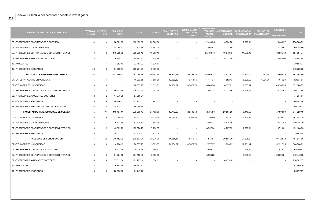| <b>DISTRIBUCIÓN POR CENTROS Y CATEGORÍAS</b>  | EFECTIVOS EFECTIVOS<br>(Totales) | (ETC)          | <b>SEGURIDAD</b><br><b>SOCIAL</b> | <b>SUELDO</b> | <b>TRIENIOS</b> | <b>COMPLEMENTO</b><br><b>DE DESTINO</b> | <b>COMPLEMENTO</b><br><b>ESPECÍFICO</b><br><b>GENERAL</b> | <b>COMPLEMENTO</b><br><b>ESPECÍFICO</b><br><b>MÉRITOS</b><br><b>DOCENTES</b> |                          | COMPLEMENTO PRODUCTIVIDAD<br>SINGULAR INVESTIGADORA TRANSFERENCIA | <b>SEXENIOS DE</b> | <b>INCENTIVOS</b><br>AL<br><b>RENDIMIENTO</b> | <b>TOTAL</b> |
|-----------------------------------------------|----------------------------------|----------------|-----------------------------------|---------------|-----------------|-----------------------------------------|-----------------------------------------------------------|------------------------------------------------------------------------------|--------------------------|-------------------------------------------------------------------|--------------------|-----------------------------------------------|--------------|
| 05.-PROFESORES CONTRATADOS DOCTORES           | $\overline{4}$                   | $\overline{4}$ | 66.362,65                         | 136.102,30    | 20.566,06       |                                         | $\overline{\phantom{a}}$                                  | 22.493,35                                                                    | 3.054,78                 | 2.999,11                                                          |                    | 26.488,27                                     | 278.066,52   |
| 06.-PROFESORES COLABORADORES                  | $\overline{1}$                   | $\overline{1}$ | 14.255,73                         | 27.871,55     | 4.643,14        |                                         | $\overline{\phantom{a}}$                                  | 4.498.67                                                                     | 4.237.59                 |                                                                   |                    | 4.238,91                                      | 59.745,59    |
| 07.-PROFESORES CONTRATADOS DOCTORES INTERINOS | 9                                | 9              | 140.238,90                        | 306.230,18    | 19.899,18       |                                         | $\overline{\phantom{a}}$                                  | 25.492,46                                                                    | 19.942,45                | 11.996,45                                                         |                    | 63.865,12                                     | 587.664,74   |
| 09.-PROFESORES AYUDANTES DOCTORES             | 3                                | 3              | 30.758,03                         | 85.883,57     | 3.979,84        |                                         |                                                           |                                                                              | 4.237,59                 |                                                                   |                    | 3.943,96                                      | 128.802,98   |
| 10.-AYUDANTES                                 | $\overline{1}$                   | $\overline{1}$ | 7.382,40                          | 22.184,22     | 1.326,61        |                                         |                                                           |                                                                              |                          |                                                                   |                    | $\overline{\phantom{a}}$                      | 30.893,24    |
| 17.-PROFESORES ASOCIADOS                      | 33                               | 8              | 64.582,67                         | 250.781,39    | 3.399,93        |                                         |                                                           |                                                                              |                          |                                                                   |                    | $\overline{\phantom{a}}$                      | 318.763,98   |
| FACULTAD DE ENFERMERIA DE CUENCA              | 52                               | 21             | 132.169,71                        | 482.084,68    | 50.352,64       | 88.251,18                               | 58.198,32                                                 | 52.809,12                                                                    | 28.417,63                | 20.891,04                                                         | 1.991,34           | 82.603,25                                     | 997.768,90   |
| 01.-CATEDRATICOS DE UNIVERSIDAD               | $\overline{1}$                   | $\overline{1}$ | $\overline{\phantom{a}}$          | 16.392,88     | 7.608,90        | 13.586,80                               | 15.318,56                                                 | 11.441,37                                                                    | 7.852,43                 | 6.829,39                                                          | 1.991,34           | 11.616,23                                     | 92.637,91    |
| 02.-TITULARES DE UNIVERSIDAD                  | 6                                | 6              | $\overline{\phantom{a}}$          | 98.357,27     | 31.313,03       | 74.664,37                               | 42.879,76                                                 | 33.869,96                                                                    | 16.327,61                | 8.063,42                                                          |                    | 46.205,35                                     | 351.680,77   |
| 07.-PROFESORES CONTRATADOS DOCTORES INTERINOS | 4                                | $\overline{4}$ | 59.472,58                         | 136.102,30    | 11.143,40       | $\overline{\phantom{a}}$                | $\overline{\phantom{a}}$                                  | 7.497,78                                                                     | 4.237,59                 | 5.998,23                                                          |                    | 24.781,67                                     | 249.233,55   |
| 09.-PROFESORES AYUDANTES DOCTORES             | $\overline{2}$                   | $\overline{2}$ | 17.978,29                         | 57.255,71     |                 |                                         |                                                           |                                                                              |                          |                                                                   |                    |                                               | 75.234,01    |
| 17.-PROFESORES ASOCIADOS                      | 14                               | $\overline{4}$ | 40.194,61                         | 127.721,01    | 287,31          |                                         |                                                           |                                                                              |                          |                                                                   |                    |                                               | 168.202,94   |
| 18.-PROFESORES ASOCIADOS CIENCIAS DE LA SALUD | 25                               | $\overline{4}$ | 14.524,23                         | 46.255,49     | $\sim$          |                                         |                                                           |                                                                              |                          |                                                                   |                    |                                               | 60.779,72    |
| <b>FACULTAD DE TRABAJO SOCIAL DE CUENCA</b>   | 15                               | 11             | 118.404,11                        | 279.065,17    | 37.402.95       | 49.776,25                               | 28.586,50                                                 | 42.785,56                                                                    | 20.565,20                | 9.449,85                                                          |                    | 57.993,59                                     | 644.029,19   |
| 02.-TITULARES DE UNIVERSIDAD                  | 4                                | $\overline{4}$ | 27.088,30                         | 65.571,52     | 19.539,38       | 49.776,25                               | 28.586,50                                                 | 27.790,00                                                                    | 7.852,43                 | 6.450,74                                                          |                    | 28.796,27                                     | 261.451,38   |
| 06.-PROFESORES COLABORADORES                  | $\overline{2}$                   | $\overline{2}$ | 26.421,49                         | 53.678,51     | 7.694,06        |                                         | $\overline{\phantom{a}}$                                  | 5.998,23                                                                     | 8.475,18                 |                                                                   |                    | 8.477,82                                      | 110.745,29   |
| 07.-PROFESORES CONTRATADOS DOCTORES INTERINOS | 3                                | 3              | 45.862,29                         | 102.076,73    | 7.296,37        |                                         |                                                           | 8.997,34                                                                     | 4.237,59                 | 2.999,11                                                          |                    | 20.719,51                                     | 192.188,93   |
| 17.-PROFESORES ASOCIADOS                      | 6                                | $\overline{2}$ | 19.032,03                         | 57.738,42     | 2.873,14        |                                         |                                                           | $\sim$                                                                       | $\overline{\phantom{a}}$ |                                                                   |                    | $\sim$                                        | 79.643,58    |
| <b>FACULTAD DE COMUNICACIÓN</b>               | 35                               | 25             | 210.452,99                        | 639.603,34    | 25.276,26       | 74.664,37                               | 42.879,76                                                 | 31.574.91                                                                    | 20.565,20                | 21.898,81                                                         |                    | 97.728,42                                     | 1.164.644,06 |
| 02.-TITULARES DE UNIVERSIDAD                  | 6                                | 6              | 14.996,13                         | 98.357,27     | 15.393,07       | 74.664,37                               | 42.879,76                                                 | 22.577,57                                                                    | 12.090,02                | 12.901,47                                                         |                    | 52.227,25                                     | 346.086,92   |
| 05.-PROFESORES CONTRATADOS DOCTORES           | 1                                | $\overline{1}$ | 15.511,48                         | 34.025,58     | 1.989,92        |                                         | $\overline{\phantom{a}}$                                  | 2.999,11                                                                     | $\overline{\phantom{a}}$ | 2.999,11                                                          |                    | 7.475,37                                      | 65.000,57    |
| 07.-PROFESORES CONTRATADOS DOCTORES INTERINOS | 6                                | 6              | 81.704,56                         | 204.153,46    | 6.566,66        |                                         |                                                           | 5.998,23                                                                     | $\overline{\phantom{a}}$ | 5.998,23                                                          |                    | 38.025,81                                     | 342.446,93   |
| 09.-PROFESORES AYUDANTES DOCTORES             | 6                                | 6              | 57.012,64                         | 171.767,14    | 1.326,61        |                                         |                                                           |                                                                              | 8.475,18                 |                                                                   |                    | $\sim$                                        | 238.581,57   |
| 10.-AYUDANTES                                 | 3                                | 3              | 20.897,54                         | 66.552,67     |                 |                                         |                                                           |                                                                              |                          |                                                                   |                    |                                               | 87.450,20    |
| 17.-PROFESORES ASOCIADOS                      | 13                               | 3              | 20.330,63                         | 64.747,23     |                 |                                         |                                                           |                                                                              |                          |                                                                   |                    |                                               | 85.077,87    |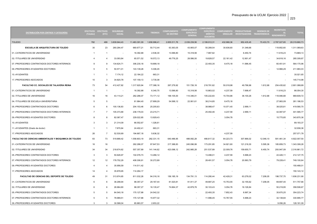| <b>DISTRIBUCIÓN POR CENTROS Y CATEGORÍAS</b>            | (Totales)       | EFECTIVOS EFECTIVOS<br>(ETC) | <b>SEGURIDAD</b><br><b>SOCIAL</b> | <b>SUELDO</b> | <b>TRIENIOS</b> | <b>COMPLEMENTO</b><br><b>DE DESTINO</b> | <b>COMPLEMENTO</b><br>ESPECÍFICO<br><b>GENERAL</b> | <b>COMPLEMENTO</b><br><b>MÉRITOS</b><br><b>DOCENTES</b> |            | ESPECIFICO COMPLEMENTO PRODUCTIVIDAD<br>SINGULAR INVESTIGADORA TRANSFERENCIA | <b>SEXENIOS DE</b>       | <b>INCENTIVOS</b><br>AL<br><b>RENDIMIENTO</b> | <b>TOTAL</b>  |
|---------------------------------------------------------|-----------------|------------------------------|-----------------------------------|---------------|-----------------|-----------------------------------------|----------------------------------------------------|---------------------------------------------------------|------------|------------------------------------------------------------------------------|--------------------------|-----------------------------------------------|---------------|
| <b>TOLEDO</b>                                           | 782             | 489                          | 3.839.944.43                      | 11.483.391.09 | 1.658.996.41    | 2.855.511.76                            | 2.039.239.56                                       | 2.199.912.31                                            | 432.968.36 | 952.435.45                                                                   | 70.433.70                | 2.787.027.65                                  | 28.319.860.73 |
| <b>ESCUELA DE ARQUITECTURA DE TOLEDO</b>                | 30              | 23                           | 260.284,47                        | 660.677,21    | 50.712.44       | 63.363,05                               | 43.905,07                                          | 50.289,54                                               | 30.636,60  | 31.348.66                                                                    | $\blacksquare$           | 119.852,60                                    | 1.311.069,63  |
| 01.-CATEDRATICOS DE UNIVERSIDAD                         | $\overline{1}$  | $\overline{1}$               |                                   | 16.392,88     | 2.536,30        | 13.586,80                               | 15.318,56                                          | 7.967,62                                                |            | 6.450,74                                                                     |                          | 11.616,23                                     | 73.869,13     |
| 02.-TITULARES DE UNIVERSIDAD                            | $\overline{A}$  | $\overline{4}$               | 33.093.84                         | 65.571,52     | 18.572,13       | 49.776.25                               | 28.586.50                                          | 19.828.57                                               | 22.161.42  | 12.901.47                                                                    |                          | 34.818,16                                     | 285.309,87    |
| 07.-PROFESORES CONTRATADOS DOCTORES INTERINOS           | 9               | 9                            | 134.624,71                        | 306.230,18    | 19.899,18       |                                         |                                                    | 22.493,35                                               | 8.475,18   | 11.996,45                                                                    |                          | 60.451,91                                     | 564.170,96    |
| 09.-PROFESORES AYUDANTES DOCTORES                       | 5               | 5                            | 50.571,01                         | 143.139,28    | 5.306,45        |                                         |                                                    |                                                         |            |                                                                              |                          | 12.966,29                                     | 211.983,03    |
| 10.-AYUDANTES                                           | $\overline{1}$  | $\overline{1}$               | 7.174,12                          | 22.184,22     | 663,31          |                                         |                                                    |                                                         |            |                                                                              |                          |                                               | 30.021,65     |
| 17.-PROFESORES ASOCIADOS                                | 10 <sup>1</sup> | 3                            | 34.820,78                         | 107.159,13    | 3.735,08        |                                         |                                                    |                                                         |            |                                                                              |                          |                                               | 145.714,98    |
| FACULTAD CC. SOCIALES DE TALAVERA REINA                 | 73              | 54                           | 412.427,82                        | 1.317.620,94  | 177.388,16      | 267.279,92                              | 151.726,18                                         | 218.781,62                                              | 50.018,98  | 49.796,96                                                                    | 1.612,68                 | 254.435,62                                    | 2.901.088,89  |
| 01.-CATEDRATICOS DE UNIVERSIDAD                         | $\overline{1}$  | $\overline{1}$               | $\sim$                            | 16.392,88     | 6.340,75        | 13.586,80                               | 15.318,56                                          | 10.863,02                                               | 4.237,59   | 7.698,47                                                                     | $\overline{\phantom{a}}$ | 11.616,23                                     | 86.054,30     |
| 02.-TITULARES DE UNIVERSIDAD                            | 16              | 16                           | 43.114,21                         | 262.286,07    | 73.171,12       | 199.105,00                              | 114.346,01                                         | 105.222,83                                              | 15.704,86  | 36.100,26                                                                    | 1.612,68                 | 118.946,68                                    | 969.609,72    |
| 04.-TITULARES DE ESCUELA UNIVERSITARIA                  | 5               | $\overline{5}$               |                                   | 81.964,40     | 27.899,29       | 54.588,12                               | 22.061,61                                          | 38.214,85                                               | 8.475,18   |                                                                              |                          | 27.983,09                                     | 261.186,53    |
| 05.-PROFESORES CONTRATADOS DOCTORES                     | 6               | 6                            | 100.136,83                        | 204.153,46    | 25.205,63       |                                         | $\overline{\phantom{a}}$                           | 38.988,47                                               | 10.071,40  | 2.999,11                                                                     |                          | 38.025,81                                     | 419.580,70    |
| 07.-PROFESORES CONTRATADOS DOCTORES INTERINOS           | $\overline{7}$  | $\overline{7}$               | 105.373,89                        | 238.179,03    | 23.215,71       |                                         |                                                    | 25.492,46                                               | 4.237,59   | 2.999,11                                                                     |                          | 42.087,97                                     | 441.585,77    |
| 09.-PROFESORES AYUDANTES DOCTORES                       | 8               | 8                            | 82.087,47                         | 229.022,85    | 13.929,43       |                                         |                                                    |                                                         | 3.054,78   |                                                                              |                          | 15.775,85                                     | 343.870,36    |
| 10.-AYUDANTES                                           | 3               | 3                            | 21.314,09                         | 66.552,67     | 1.326,61        |                                         |                                                    |                                                         |            |                                                                              |                          |                                               | 89.193,37     |
| 11.-AYUDANTES (Grado de doctor)                         | $\overline{1}$  | $\overline{1}$               | 7.870,64                          | 24.402,41     | 663,31          |                                         |                                                    |                                                         |            |                                                                              |                          |                                               | 32.936,36     |
| 17.-PROFESORES ASOCIADOS                                | 26              | $\overline{7}$               | 52.530,69                         | 194.667,18    | 5.636,32        |                                         |                                                    |                                                         | 4.237,59   |                                                                              |                          |                                               | 257.071,78    |
| FACULTAD DE CIENCIAS AMBIENTALES Y BIOQUIMICA DE TOLEDO | 83              | 73                           | 519.889,42                        | 1.558.803,19  | 282.331,15      | 640.486,95                              | 488.082,28                                         | 466.817,32                                              | 64.223,73  | 307.866,02                                                                   | 12.046,10                | 581.461,34                                    | 4.922.007,50  |
| 01.-CATEDRATICOS DE UNIVERSIDAD                         | 16              | 16                           |                                   | 262.286,07    | 97.647,53       | 217.388,83                              | 245.096,99                                         | 173.291,85                                              | 34.921,60  | 121.218,30                                                                   | 5.595,36                 | 185.859,73                                    | 1.343.306,26  |
| 02.-TITULARES DE UNIVERSIDAD                            | 34              | 34                           | 218.674,62                        | 557.357,89    | 141.144,62      | 423.098,12                              | 242.985,28                                         | 251.537,89                                              | 22.009,76  | 159.655,71                                                                   | 6.450,74                 | 293.947,09                                    | 2.316.861,72  |
| 05.-PROFESORES CONTRATADOS DOCTORES                     | 3               | 3                            | 50.626,97                         | 102.076,73    | 13.266,12       |                                         |                                                    | 13.496,01                                               | 4.237,59   | 5.998,23                                                                     |                          | 22.426,11                                     | 212.127,75    |
| 07.-PROFESORES CONTRATADOS DOCTORES INTERINOS           | 12              | 12                           | 178.752,29                        | 408.306,91    | 30.272,89       |                                         |                                                    | 28.491,57                                               | 3.054,78   | 20.993,79                                                                    |                          | 79.228,41                                     | 749.100,64    |
| 09.-PROFESORES AYUDANTES DOCTORES                       | $\overline{4}$  | $\overline{4}$               | 35.956,59                         | 114.511,42    |                 |                                         |                                                    |                                                         |            |                                                                              |                          |                                               | 150.468,01    |
| 17.-PROFESORES ASOCIADOS                                | 14              | $\overline{4}$               | 35.878,95                         | 114.264,17    |                 |                                         |                                                    |                                                         |            |                                                                              |                          |                                               | 150.143,12    |
| FACULTAD DE CIENCIAS DEL DEPORTE DE TOLEDO              | 49              | 31                           | 313.974,65                        | 811.032,26    | 94.316,16       | 156.185,19                              | 134.791,13                                         | 114.280,44                                              | 42.428,31  | 63.278,02                                                                    | 7.208,05                 | 198.737,70                                    | 1.936.231,90  |
| 01.-CATEDRATICOS DE UNIVERSIDAD                         | 6               | 6                            | 36.298,94                         | 98.357,27     | 29.167,44       | 81.520,81                               | 91.911,37                                          | 49.687,20                                               | 15.753,55  | 32.155,62                                                                    | 7.208,05                 | 69.697,40                                     | 511.757,66    |
| 02.-TITULARES DE UNIVERSIDAD                            | 6               | 6                            | 26.964,80                         | 98.357,27     | 16.135,47       | 74.664,37                               | 42.879,76                                          | 30.103,43                                               | 3.054,78   | 16.126,84                                                                    |                          | 50.219,95                                     | 358.506,67    |
| 05.-PROFESORES CONTRATADOS DOCTORES                     | 5               | 5                            | 84.540,18                         | 170.127,88    | 24.542,32       |                                         | $\overline{\phantom{a}}$                           | 22.493,35                                               | 7.852,43   | 8.997,34                                                                     |                          | 35.670,25                                     | 354.223,74    |
| 07.-PROFESORES CONTRATADOS DOCTORES INTERINOS           | 5               | 5                            | 78.989,51                         | 170.127,88    | 15.977,32       |                                         |                                                    | 11.996,45                                               | 15.767,55  | 5.998,23                                                                     |                          | 32.138,84                                     | 330.995,77    |
| 09.-PROFESORES AYUDANTES DOCTORES                       | 3               | 3                            | 30.588.04                         | 85.883.57     | 2.653.22        |                                         |                                                    |                                                         |            |                                                                              |                          | 9.056,26                                      | 128.181.09    |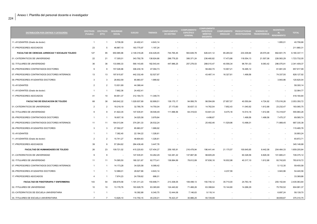| DISTRIBUCIÓN POR CENTROS Y CATEGORÍAS            | <b>EFECTIVOS</b><br>(Totales) | <b>EFECTIVOS</b><br>(ETC) | <b>SEGURIDAD</b><br><b>SOCIAL</b> | <b>SUELDO</b> | <b>TRIENIOS</b> | <b>COMPLEMENTO</b><br><b>DE DESTINO</b> | <b>COMPLEMENTO</b><br><b>ESPECIFICO</b><br><b>GENERAL</b> | <b>COMPLEMENTO</b><br><b>ESPECÍFICO</b><br><b>MÉRITOS</b><br><b>DOCENTES</b> | <b>SINGULAR</b>          | COMPLEMENTO PRODUCTIVIDAD<br>INVESTIGADORA TRANSFERENCIA | <b>SEXENIOS DE</b> | <b>INCENTIVOS</b><br><b>RENDIMIENTO</b> | <b>TOTAL</b> |
|--------------------------------------------------|-------------------------------|---------------------------|-----------------------------------|---------------|-----------------|-----------------------------------------|-----------------------------------------------------------|------------------------------------------------------------------------------|--------------------------|----------------------------------------------------------|--------------------|-----------------------------------------|--------------|
| 11.-AYUDANTES (Grado de doctor)                  | $\overline{1}$                | $\overline{1}$            | 9.706,09                          | 24.402,41     | 4.643,14        |                                         |                                                           |                                                                              |                          |                                                          |                    | 1.955,01                                | 40.706,66    |
| 17.-PROFESORES ASOCIADOS                         | 23                            | 5                         | 46.887,10                         | 163.775,97    | 1.197,24        |                                         |                                                           |                                                                              |                          |                                                          |                    |                                         | 211.860,31   |
| FACULTAD DE CIENCIAS JURIDICAS Y SOCIALES TOLEDO | 127                           | 95                        | 650.985,96                        | 2.149.318,26  | 434.429,45      | 744.765,45                              | 563.649,78                                                | 626.441,12                                                                   | 85.265,02                | 233.309,84                                               | 29.570,48          | 662.601,75                              | 6.180.337,11 |
| 01.-CATEDRATICOS DE UNIVERSIDAD                  | 22                            | 21                        | 17.305,01                         | 343.792,78    | 138.924,66      | 296.779,20                              | 306.371,24                                                | 236.460,82                                                                   | 17.473,86                | 118.554,13                                               | 21.507,06          | 226.563,29                              | 1.723.732,05 |
| 02.-TITULARES DE UNIVERSIDAD                     | 36                            | 36                        | 133.990,33                        | 590.143,65    | 182.543,44      | 447.986,25                              | 257.278,53                                                | 288.010,47                                                                   | 40.556,34                | 96.761,03                                                | 8.063,42           | 296.075,91                              | 2.341.409,37 |
| 05.-PROFESORES CONTRATADOS DOCTORES              | 9                             | 9                         | 157.026,96                        | 306.230,18    | 47.094,73       | $\overline{\phantom{a}}$                | $\sim$                                                    | 58.482,70                                                                    | 10.907,21                | 16.495,12                                                |                    | 61.681,09                               | 657.917,99   |
| 07.-PROFESORES CONTRATADOS DOCTORES INTERINOS    | 13                            | 13                        | 197.615,67                        | 442.332,49    | 52.527,97       |                                         |                                                           | 43.487,14                                                                    | 16.327,61                | 1.499,56                                                 |                    | 74.337,50                               | 828.127,92   |
| 09.-PROFESORES AYUDANTES DOCTORES                | 3                             | 3                         | 28.802,59                         | 85.883,57     | 1.989,92        |                                         |                                                           |                                                                              |                          |                                                          |                    | 3.943,96                                | 120.620,04   |
| 10.-AYUDANTES                                    | 2                             | $\overline{2}$            | 13.931,69                         | 44.368,44     |                 |                                         |                                                           |                                                                              |                          |                                                          |                    |                                         | 58.300,14    |
| 11.-AYUDANTES (Grado de doctor)                  | $\overline{1}$                | $\overline{1}$            | 7.662,36                          | 24.402,41     |                 |                                         |                                                           |                                                                              |                          |                                                          |                    |                                         | 32.064,77    |
| 17.-PROFESORES ASOCIADOS                         | 41                            | 10                        | 94.651,37                         | 312.164,73    | 11.348,74       |                                         |                                                           |                                                                              |                          |                                                          |                    |                                         | 418.164,84   |
| FACULTAD DE EDUCACION DE TOLEDO                  | 68                            | 38                        | 349.642,22                        | 1.029.937,69  | 92.899,51       | 139.170,17                              | 94.956,76                                                 | 98.594,99                                                                    | 27.857,57                | 40.550,64                                                | 4.724,92           | 175.016,26                              | 2.053.350,72 |
| 01.-CATEDRATICOS DE UNIVERSIDAD                  | $\overline{2}$                | $\overline{2}$            | 19.218,19                         | 32.785,76     | 14.750,04       | 27.173,60                               | 30.637,12                                                 | 14.762,54                                                                    | 7.852,43                 | 11.040,92                                                | 1.612,68           | 23.232,47                               | 183.065,75   |
| 02.-TITULARES DE UNIVERSIDAD                     | 9                             | 9                         | 41.822,35                         | 147.535,91    | 39.546,49       | 111.996,56                              | 64.319,63                                                 | 53.841,33                                                                    | 8.475,18                 | 14.514,16                                                | 1.612,68           | 72.318,97                               | 555.983,26   |
| 05.-PROFESORES CONTRATADOS DOCTORES              | $\overline{1}$                | $\overline{1}$            | 16.607,18                         | 34.025,58     | 3.979,84        |                                         |                                                           | 4.498,67                                                                     |                          | 1.499,56                                                 | 1.499,56           | 7.475,37                                | 69.585,74    |
| 07.-PROFESORES CONTRATADOS DOCTORES INTERINOS    | 11                            | 11                        | 164.013,94                        | 374.281,33    | 26.532,24       |                                         |                                                           | 25.492,46                                                                    | 11.529,96                | 13.496,01                                                |                    | 71.989,45                               | 687.335,38   |
| 09.-PROFESORES AYUDANTES DOCTORES                | 3                             | 3                         | 27.592,27                         | 85.883,57     | 1.989,92        |                                         |                                                           |                                                                              |                          |                                                          |                    |                                         | 115.465,76   |
| 10.-AYUDANTES                                    |                               | $\overline{1}$            | 7.382,40                          | 22.184,22     | 1.326,61        |                                         |                                                           |                                                                              |                          |                                                          |                    |                                         | 30.893,24    |
| 11.-AYUDANTES (Grado de doctor)                  | $\overline{2}$                | $\overline{2}$            | 15.741,27                         | 48.804,83     | 1.326,61        |                                         |                                                           |                                                                              |                          |                                                          |                    |                                         | 65.872,71    |
| 17.-PROFESORES ASOCIADOS                         | 39                            | 9                         | 57.264.62                         | 284.436,49    | 3.447,76        |                                         |                                                           |                                                                              |                          |                                                          |                    |                                         | 345.148.88   |
| FACULTAD DE HUMANIDADES DE TOLEDO                | 26                            | 23                        | 109.721,02                        | 415.220,63    | 127.454,27      | 259.165,91                              | 216.479,94                                                | 196.441,44                                                                   | 21.170,57                | 100.645,65                                               | 8.442,08           | 204.464,33                              | 1.659.205,84 |
| 01.-CATEDRATICOS DE UNIVERSIDAD                  | 9                             | 9                         | $\overline{\phantom{a}}$          | 147.535,91    | 53.262,29       | 122.281,22                              | 137.867,06                                                | 98.605,28                                                                    | $\overline{\phantom{a}}$ | 60.328,56                                                | 6.829,39           | 101.665,41                              | 728.375,12   |
| 02.-TITULARES DE UNIVERSIDAD                     | 11                            | 11                        | 74.585,50                         | 180.321,67    | 62.773,41       | 136.884,69                              | 78.612,89                                                 | 97.836,16                                                                    | 16.932,98                | 40.317,10                                                | 1.612,68           | 93.742,65                               | 783.619,72   |
| 07.-PROFESORES CONTRATADOS DOCTORES INTERINOS    | $\overline{1}$                | $\overline{1}$            | 14.173,28                         | 34.025,58     | 6.089,42        |                                         |                                                           |                                                                              |                          |                                                          |                    | 5.112,30                                | 59.400,58    |
| 09.-PROFESORES AYUDANTES DOCTORES                | $\overline{1}$                | $\overline{1}$            | 12.988,01                         | 28.627,86     | 4.643,14        |                                         |                                                           |                                                                              | 4.237,59                 |                                                          |                    | 3.943,96                                | 54.440,56    |
| 17.-PROFESORES ASOCIADOS                         | $\overline{4}$                | $\overline{1}$            | 7.974,23                          | 24.709,62     | 686,01          |                                         |                                                           |                                                                              |                          |                                                          |                    |                                         | 33.369,86    |
| FACULTAD DE FISIOTERAPIA Y ENFERMERIA            | 143                           | 54                        | 358.879,58                        | 1.191.311,23  | 150.699,71      | 213.308,05                              | 109.499,13                                                | 150.740,12                                                                   | 35.710,00                | 24.763,18                                                |                    | 200.152,84                              | 2.435.063,84 |
| 02.-TITULARES DE UNIVERSIDAD                     | 10                            | 10                        | 13.176,76                         | 163.928,79    | 63.365,69       | 124.440,62                              | 71.466,26                                                 | 63.398,64                                                                    | 15.144,80                | 14.266,29                                                |                    | 75.793,52                               | 604.981,37   |
| 03.-CATEDRATICOS DE ESCUELA UNIVERSITARIA        |                               | $\mathbf{1}$              |                                   | 16.392,88     | 6.340,75        | 12.444,06                               | 7.146,63                                                  | 9.118,14                                                                     |                          |                                                          |                    | 6.697,24                                | 58.139,70    |

04.-TITULARES DE ESCUELA UNIVERSITARIA 7 7 13.626,10 114.750,15 45.235,01 76.423,37 30.886,25 55.729,99 - - - 38.659,87 375.310,75